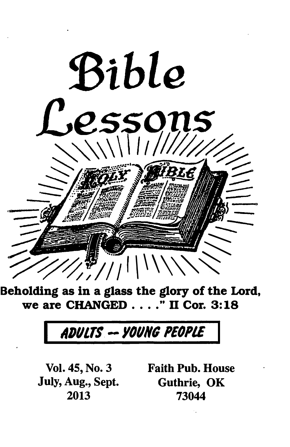

we are CHANGED  $\ldots$ ." II Cor. 3:18

# ADULTS -- YOUNG PEOPLE

July, Aug., Sept. Guthrie, OK

Vol. 45, No. 3 Faith Pub. House 73044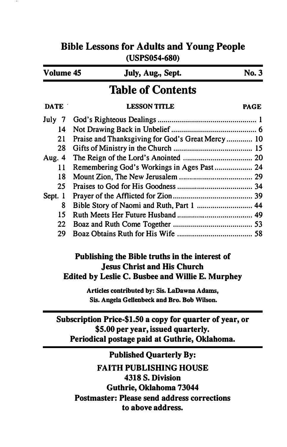| (USPS054-680)            |                                                   |              |  |
|--------------------------|---------------------------------------------------|--------------|--|
| Volume 45                | July, Aug., Sept.                                 | <b>No. 3</b> |  |
| <b>Table of Contents</b> |                                                   |              |  |
| DATE :                   | <b>LESSON TITLE</b>                               | <b>PAGE</b>  |  |
| July 7                   |                                                   |              |  |
| $\overline{14}$          |                                                   |              |  |
| 21                       | Praise and Thanksgiving for God's Great Mercy  10 |              |  |
| 28                       |                                                   |              |  |
| Aug. 4                   |                                                   |              |  |
| 11                       | Remembering God's Workings in Ages Past 24        |              |  |
| 18                       |                                                   |              |  |
| 25                       |                                                   |              |  |
| Sept. 1                  |                                                   |              |  |
| 8                        | Bible Story of Naomi and Ruth, Part 1  44         |              |  |
| 15                       |                                                   |              |  |
| 22                       |                                                   |              |  |
| 29                       |                                                   |              |  |
|                          | Publishing the Bible truths in the interest of    |              |  |

# Bible Lessons for Adults and Young People

# Publishing the Bible truths in the interest of Jesus Christ and His Church Edited by Leslie C. Busbee and Willie E. Murphey

Articles contributed by: Sis. LaDawna Adams, Sis. Angela Gellenbeck and Bro. Bob Wilson.

Subscription Price-\$1.50 a copy for quarter of year, or \$5.00 per year, issued quarterly. Periodical postage paid at Guthrie, Oklahoma.

Published Quarterly By: FAITH PUBLISHING HOUSE 4318 S. Division Guthrie, Oklahoma 73044 Postmaster: Please send address corrections to above address.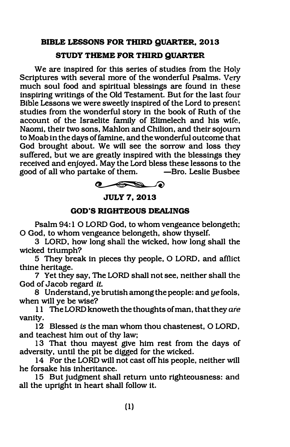# BIBLE LESSONS FOR THIRD QUARTER, 2013

#### STUDY THEME FOR THIRD QUARTER

We are inspired for this series of studies from the Holy Scriptures with several more of the wonderful Psalms. Very much soul food and spiritual blessings are found in these inspiring writings of the Old Testament. But for the last four Bible Lessons we were sweetly inspired of the Lord to present studies from the wonderful story in the book of Ruth of ihe account of the Israelite family of Elimelech and his wife. Naomi, their two sons, Mahlon and Chilion, and their sojourn to Moab in the days of famine, and the wonderful outcome that God brought about. We Will see the sorrow and loss they suffered, but we are greatly inspired with the blessings they received and enjoyed. May the Lord bless these lessons to the good of all who partake **-Bro. Leslie Busbee** 



# **JULY 7, 2013**

#### GOD'S RIGHTEOUS DEALINGS

Psalm 94: 1 0 LORD God, to whom vengeance belongeth: 0 God, to whom vengeance belongeth, show thyself.

3 LORD, how long shall the Wicked, how long shall the wicked triumph?

5 They break in pieces thy people, 0 LORD, and afflict thine heritage.

7 Yet they say, The LORD shall not see, neither shall the God of Jacob regard it.

8 Understand, ye brutish among the people: and ye fools, when Will ye be Wise?

11 The LORD knoweth the thoughts of man, that they are vanity.

12 Blessed is the man whom thou chastenest, 0 LORD, and teachest him out of thy law:

13 That thou mayest give him rest from the days of adversity, until the pit be digged for the wicked.

14 For the LORD will not cast off his people, neither will he forsake his inheritance.

15 But judgment shall return unto righteousness: and all the upright in heart shall follow it.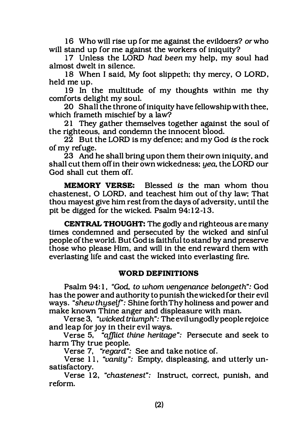16 Who will rise up for me against the evildoers? or who will stand up for me against the workers of iniquity?

17 Unless the LORD had been my help, my soul had almost dwelt in silence.

18 When I said, My foot slippeth: thy mercy, 0 LORD, held me up.

19 In the multitude of my thoughts within me thy comforts delight my soul.

20 Shall the throne of iniquity have fellowship with thee, which frameth mischief by a law?

21 They gather themselves together against the soul of the righteous, and condemn the innocent blood.

22 But the LORD is my defence; and my God is the rock of my refuge.

23 And he shall bring upon them their own iniquity, and shall cut them off in their own wickedness; yea, the LORD our God shall cut them off.

MEMORY VERSE: Blessed is the man whom thou chastenest, 0 LORD, and teachest him out of thy law; That thou mayest give him rest from the days of adversity, until the pit be digged for the wicked. Psalm 94: 12-13.

CENTRAL THOUGHT: The godly and righteous are many times condemned and persecuted by the wicked and sinful people of the world. But God is faithful to stand by and preserve those who please Him, and will in the end reward them with everlasting life and cast the wicked into everlasting fire.

# WORD DEFINITIONS

Psalm 94: 1, "God, to whom vengenance belongeth": God has the power and authority to punish the wicked for their evil ways. "shew thyself': Shine forth Thy holiness and power and make known Thine anger and displeasure with man.

Verse 3, "wicked triumph": The evil ungodly people rejoice and leap for joy in their evil ways.

Verse 5, "afflict thine heritage": Persecute and seek to harm Thy true people.

Verse 7, "regard": See and take notice of.

Verse 11, "vanity": Empty, displeasing, and utterly unsatisfactory.

Verse 12, "chastenest": Instruct, correct, punish, and reform.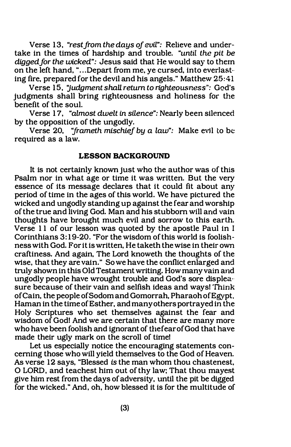Verse 13, "rest from the days of evil": Relieve and undertake in the times of hardship and trouble. "until the pit be digged for the wicked": Jesus said that He would say to them on the left hand, "...Depart from me, ye cursed, into everlasting fire, prepared for the devil and his angels." Matthew 25:41

Verse 15, "judgment shall return to righteousness": God's judgments shall bring righteousness and holiness for the benefit of the soul.

Verse 17, "almost dwelt in silence": Nearly been silenced by the opposition of the ungodly.

Verse 20, "frameth mischief by a law": Make evil to be required as a law.

#### LESSON BACKGROUND

It is not certainly known just who the author was of this Psalm nor in what age or time it was written. But the very essence of its message declares that it could fit about any period of time in the ages of this world. We have pictured the wicked and ungodly standing up against the fear and worship of the true and living God. Man and his stubborn will and vain thoughts have brought much evil and sorrow to this earth. Verse 11 of our lesson was quoted by the apostle Paul in I Corinthians 3: 1 9-20. "For the wisdom of this world is foolishness with God. For it is written, He taketh the wise in their own craftiness. And again, The Lord knoweth the thoughts of the wise, that they are vain." So we have the conflict enlarged and truly shown in this Old Testament writing. How many vain and ungodly people have wrought trouble and God's sore displeasure because of their vain and selfish ideas and ways! Think of Cain, the people of Sodom and Gomorrah, Pharaoh of Egypt, Haman in the time of Esther, and many others portrayed in the Holy Scriptures who set themselves against the fear and wisdom of God! And we are certain that there are many more who have been foolish and ignorant of the fear of God that have made their ugly mark on the scroll of time!

Let us especially notice the encouraging statements concerning those who will yield themselves to the God of Heaven. As verse 12 says, "Blessed is the man whom thou chastenest, 0 LORD, and teachest him out of thy law; That thou mayest gtve him rest from the days of adversity, until the pit be digged for the wicked." And, oh, how blessed it is for the multitude of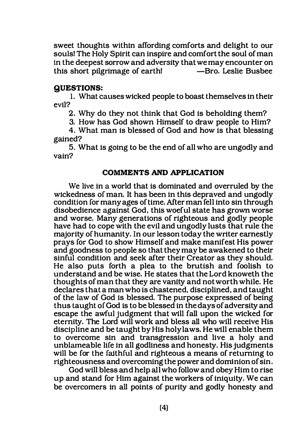sweet thoughts within affording comforts and delight to our souls! The Holy Spirit can inspire and comfort the soul of man in the deepest sorrow and adversity that we may encounter on<br>this short pilgrimage of earth! ——Bro Leslie Bushee this short pilgrimage of earth!

# QUESTIONS:

1. What causes wicked people to boast themselves in their evil?

2. Why do they not think that God is beholding them?

3. How has God shown Himself to draw people to Him?

4. What man is blessed of God and how is that blessing gained?

5. What is going to be the end of all who are ungodly and vain?

#### COMMENTS AND APPLICATION

We live in a world that is dominated and overruled by the wickedness of man. It has been in this depraved and ungodly condition for many ages of time. After man fell into sin through disobedience against God, this woeful state has grown worse and worse. Many generations of righteous and godly people have had to cope with the evil and ungodly lusts that rule the majority of humanity. In our lesson today the writer earnestly prays for God to show Himself and make manifest His power and goodness to people so that they may be awakened to their sinful condition and seek after their Creator as they should. He also puts forth a plea to the brutish and foolish to understand and be wise. He states that the Lord knoweth the thoughts of man that they are vanity and not worth while. He declares that a man who is chastened, disciplined, and taught of the law of God is blessed. The purpose expressed of being thus taught of God is to be blessed in the days of adversity and escape the awful judgment that will fall upon the wicked for eternity. The Lord will work and bless all who will receive His discipline and be taught by His holy laws. He will enable them to overcome sin and transgression and live a holy and unblameable life in all godliness and honesty. His judgments will be for the faithful and righteous a means of returning to righteousness and overcoming the power and dominion of sin.

God will bless and help all who follow and obey Him to rise up and stand for Him against the workers of iniquity. We can be overcomers in all points of purity and godly honesty and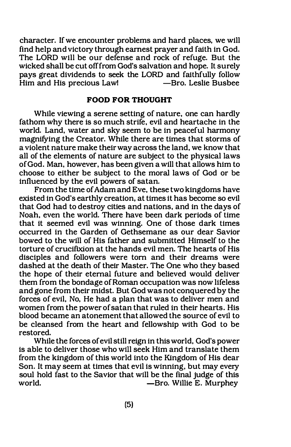character. If we encounter problems and hard places, we will find help and victory through earnest prayer and faith in God. The LORD will be our defense and rock of refuge. But the wicked shall be cut off from God's salvation and hope. It surely pays great dividends to seek the LORD and faithfully follow Him and His precious Law!

#### FOOD FOR THOUGHT

While viewing a serene setting of nature, one can hardly fathom why there is so much strife, evil and heartache in the world. Land, water and sky seem to be in peaceful harmony magnifying the Creator. While there are times that storms of a violent nature make their way across the land, we know that all of the elements of nature are subject to the physical laws of God. Man, however, has been given a will that allows him to choose to either be subject to the moral laws of God or be influenced by the evil powers of satan.

From the time of Adam and Eve, these two kingdoms have existed in God's earthly creation, at times it has become so evil that God had to destroy cities and nations, and in the days of Noah, even the world. There have been dark periods of time that it seemed evil was winning. One of those dark times occurred in the Garden of Gethsemane as our dear Savior bowed to the will of His father and submitted Himself to the torture of crucifixion at the hands evil men. The hearts of His disciples and followers were torn and their dreams were dashed at the death of their Master. The One who they based the hope of their eternal future and believed would deliver them from the bondage of Roman occupation was now lifeless and gone from their midst. But God was not conquered by the forces of evil, No, He had a plan that was to deliver men and women from the power of satan that ruled in their hearts. His blood became an atonement that allowed the source of evil to be cleansed from the heart and fellowship with God to be restored.

While the forces of evil still reign in this world, God's power is able to deliver those who will seek Him and translate them from the kingdom of this world into the Kingdom of His dear Son. It may seem at times that evil is winning, but may every soul hold fast to the Savior that will be the final judge of this world.<br>— Bro. Willie E. Murphey -Bro. Willie E. Murphey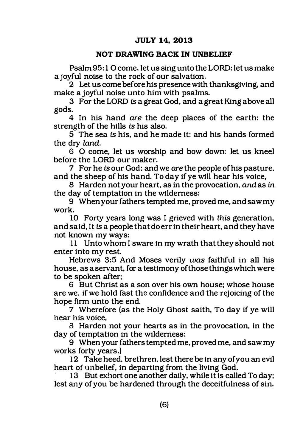# JULY 14, 2013

#### NOT DRAWING BACK IN UNBELIEF

Psalm 95: 1 0 come. let us sing unto the LORD: let us make a joyful noise to the rock of our salvation.

2 Let us come before his presence with thanksgiving, and make a joyful noise unto him with psalms.

3 For the LORD is a great God, and a great King above all gods.

4 In his hand are the deep places of the earth: the strength of the hills is his also.

5 The sea is his, and he made it: and his hands formed the dry land.

6 0 come, let us worship and bow down: let us kneel before the LORD our maker.

7 For he is our God; and we are the people of his pasture, and the sheep of his hand. To day if ye will hear his voice,

8 Harden not your heart, as in the provocation, and as in the day of temptation in the wilderness:

9 When your fathers tempted me, proved me. and saw my work.

10 Forty years long was I grieved with this generation, and said, It is a people that do err in their heart, and they have not known my ways:

11 Unto whom I sware in my wrath that they should not enter into my rest.

Hebrews 3:5 And Moses verily was faithful in all his house, as a servant. for a testimony ofthose things which were to be spoken after;

6 But Christ as a son over his own house; whose house are we, if we hold fast the confidence and the rejoicing of the hope firm unto the end.

7 Wherefore (as the Holy Ghost saith, To day if ye will hear his voice,

8 Harden not your hearts as in the provocation, in the day of temptation in the wilderness:

9 When your fathers tempted me, proved me, and saw my works forty years.)

12 Take heed, brethren, lest there be in any of you an evil heart of unbelief, in departing from the living God.

13 But exhort one another daily, while it is called To day; lest any of you be hardened through the deceitfulness of sin.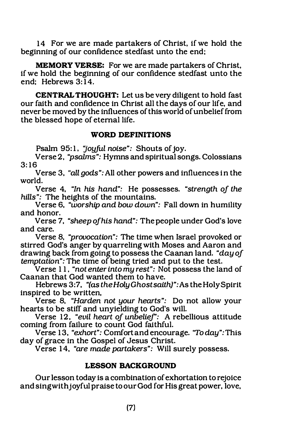14 For we are made partakers of Christ, if we hold the beginning of our confidence stedfast unto the end;

MEMORY VERSE: For we are made partakers of Christ, if we hold the beginning of our confidence stedfast unto the end: Hebrews 3:14.

CENTRAL THOUGHT: Let us be very diligent to hold fast our faith and confidence in Christ all the days of our life, and never be moved by the influences of this world of unbelief from the blessed hope of eternal life.

#### WORD DEFINITIONS

Psalm 95:1, "joyful noise": Shouts of joy.

Verse 2. "psalms": Hymns and spiritual songs. Colossians 3: 16

Verse 3, "all gods": All other powers and influences in the world.

Verse 4, "In his hand": He possesses. "strength of the hills": The heights of the mountains.

Verse 6, "worship and bow down": Fall down in humility and honor.

Verse 7, "sheep of his hand": The people under God's love and care.

Verse 8, "provocation": The time when Israel provoked or stirred God's anger by quarreling with Moses and Aaron and drawing back from going to possess the Caanan land. "day of temptation": The time of being tried and put to the test.

Verse 11, "not enter into my rest": Not possess the land of Caanan that God wanted them to have.

Hebrews 3:7, "(as the Holy Ghost saith)": As the Holy Spirit inspired to be written,

Verse 8, "Harden not your hearts": Do not allow your hearts to be stiff and unyielding to God's will.

Verse 12, "evil heart of unbelief': A rebellious attitude coming from failure to count God faithful.

Verse 13, "exhort": Comfort and encourage. "To day": This day of grace in the Gospel of Jesus Christ.

Verse 14, "are made partakers": Will surely possess.

# LESSON BACKGROUND

Our lesson today is a combination of exhortation to rejoice and sing with joyful praise to our God for His great power, love,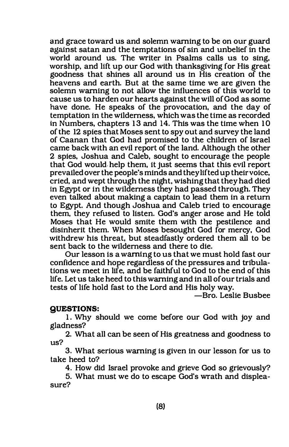and grace toward us and solemn warning to be on our guard against satan and the temptations of sin and unbelief in the world around us. The writer in Psalms calls us to sing. worship, and lift up our God with thanksgiving for His great goodness that shines all around us in His creation of the heavens and earth. But at the same time we are given the solemn warning to not allow the influences of this world to cause us to harden our hearts against the will of God as some have done. He speaks of the provocation. and the day of temptation in the wilderness. which was the time as recorded in Numbers. chapters 13 and 14. This was the time when 10 of the 12 spies that Moses sent to spy out and survey the land of Caanan that God had promised to the children of Israel came back with an evil report of the land. Although the other 2 spies. Joshua and Caleb. sought to encourage the people that God would help them. it just seems that this evil report prevailed over the people's minds and they lifted up their voice. cried, and wept through the night, wishing that they had died in Egypt or in the wilderness they had passed through. They even talked about making a captain to lead them in a return to Egypt. And though Joshua and Caleb tried to encourage them, they refused to listen. God's anger arose and He told Moses that He would smite them with the pestilence and disinherit them. When Moses besought God for mercy, God withdrew his threat, but steadfastly ordered them all to be sent back to the wilderness and there to die.

Our lesson is a warning to us that we must hold fast our confidence and hope regardless of the pressures and tribulations we meet in life. and be faithful to God to the end of this life. Let us take heed to this warning and in all of our trials and tests of life hold fast to the Lord and His holy way.

-Bro. Leslie Busbee

#### QUESTIONS:

1. Why should we come before our God with joy and gladness?

2. What all can be seen of His greatness and goodness to us?

3. What serious warning is given in our lesson for us to take heed to?

4. How did Israel provoke and grieve God so grievously?

5. What must we do to escape God's wrath and displeasure?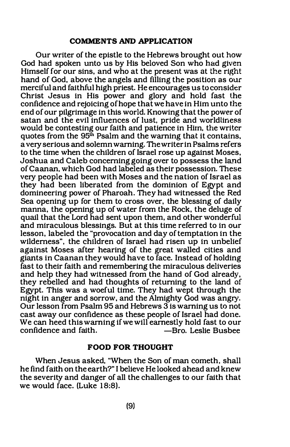#### COMMENTS AND APPLICATION

Our writer of the epistle to the Hebrews brought out how God had spoken unto us by His beloved Son who had given Himself for our sins, and who at the present was at the right hand of God, above the angels and filling the position as our merciful and faithful high priest. He encourages us to consider Christ Jesus in His power and glory and hold fast the confidence and rejoicing of hope that we have in Him unto the end of our pilgrimage in this world. Knowing that the power of satan and the evil influences of lust, pride and worldliness would be contesting our faith and patience in Hirn, the writer quotes from the 95<sup>th</sup> Psalm and the warning that it contains. a very serious and solemn warning. The writer in Psalms refers to the time when the children of Israel rose up against Moses, Joshua and Caleb concerning going over to possess the land of Caanan, which God had labeled as their possession. These very people had been with Moses and the nation of Israel as they had been liberated from the dominion of Egypt and domineering power of Pharoah. They had witnessed the Red Sea opening up for them to cross over, the blessing of daily manna, the opening up of water from the Rock, the deluge of quail that the Lord had sent upon them, and other wonderful and miraculous blessings. But at this time referred to in our lesson, labeled the "provocation and day of temptation in the wilderness", the children of Israel had risen up in unbelief against Moses after hearing of the great walled cities and giants in Caanan they would have to face. Instead of holding fast to their faith and remembering the miraculous deliveries and help they had witnessed from the hand of God already, they rebelled and had thoughts of returning to the land of Egypt. This was a woeful time. They had wept through the night in anger and sorrow, and the Almighty God was angry. Our lesson from Psalm 95 and Hebrews 3 is warning us to not cast away our confidence as these people of Israel had done. We can heed this warning if we will earnestly hold fast to our confidence and faith. -Bro. Leslie Busbee

#### FOOD FOR THOUGHT

When Jesus asked, "When the Son of man cometh, shall he find faith on the earth?" I believe He looked ahead and knew the severity and danger of all the challenges to our faith that we would face. (Luke 18:8).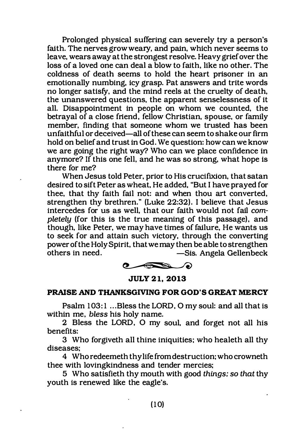Prolonged physical suffering can severely try a person's faith. The nerves grow weary, and pain, which never seems to leave, wears away at the strongest resolve. Heavy grief over the loss of a loved one can deal a blow to faith, like no other. The coldness of death seems to hold the heart prisoner in an emotionally numbing, icy grasp. Pat answers and trite words no longer satisfy, and the mind reels at the cruelty of death, the unanswered questions, the apparent senselessness of it all. Disappointment in people on whom we counted, the betrayal of a close friend, fellow Christian, spouse, or family member, finding that someone whom we trusted has been unfaithful or deceived-all of these can seem to shake our firm hold on belief and trust in God. We question: how can we know we are going the right way? Who can we place confidence in anymore? If this one fell, and he was so strong, what hope is there for me?

When Jesus told Peter, prior to His crucifiXion, that satan desired to sift Peter as wheat, He added, "But I have prayed for thee, that thy faith fail not: and when thou art converted, strengthen thy brethren." (Luke 22:32). I believe that Jesus intercedes for us as well, that our faith would not fail completely (for this is the true meaning of this passage), and though, like Peter, we may have times of failure, He wants us to seek for and attain such victory, through the converting power of the Holy Spirit, that we may then be able to strengthen others in need. -Sis. Angela Gellenbeck

 $\bullet$ 

JULY 21, 2013

# PRAISE AND THANKSGIVING FOR GOD'S GREAT MERCY

Psalm 103:1 ... Bless the LORD, O my soul: and all that is within me, bless his holy name.

2 Bless the LORD, 0 my soul, and forget not all his benefits:

3 Who forgiveth all thine iniquities; who healeth all thy diseases;

4 Who redeemeth thy life from destruction; who crowneth thee with lovingkindness and tender mercies;

5 Who satisfieth thy mouth with good things; so that thy youth is renewed like the eagle's.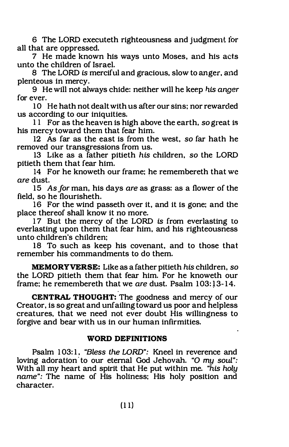6 The LORD executeth righteousness and judgment for all that are oppressed.

7 He made known his ways unto Moses, and his acts unto the children of Israel.

8 The LORD is merciful and gracious, slow to anger, and plenteous in mercy.

9 He will not always chide: neither will he keep his anger for ever.

10 He hath not dealt with us after our sins: nor rewarded us according to our iniquities.

11 For as the heaven is high above the earth. so great is his mercy toward them that fear him.

12 As far as the east is from the west, so far hath he removed our transgressions from us.

13 Like as a father pitieth his children, so the LORD pitieth them that fear him.

14 For he knoweth our frame: he remembereth that we are dust.

15 As for man, his days are as grass: as a flower of the field, so he flourisheth.

16 For the wind passeth over it, and it is gone: and the place thereof shall know it no more.

17 But the mercy of the LORD is from everlasting to everlasting upon them that fear him, and his righteousness unto children's children:

18 To such as keep his covenant, and to those that remember his commandments to do them.

MEMORY VERSE: Like as a father pitieth his children, so the LORD pitieth them that fear him. For he knoweth our frame: he remembereth that we are dust. Psalm 103:13-14.

CENTRAL THOUGHT: The goodness and mercy of our Creator, is so great and unfailing toward us poor and helpless creatures, that we need not ever doubt His willingness to forgive and bear with us in our human infirmities.

### WORD DEFINITIONS

Psalm 103:1, "Bless the LORD": Kneel in reverence and loving adoration to our eternal God Jehovah. "O my soul": With all my heart and spirit that He put within me. "his holy name": The name of His holiness: His holy position and character.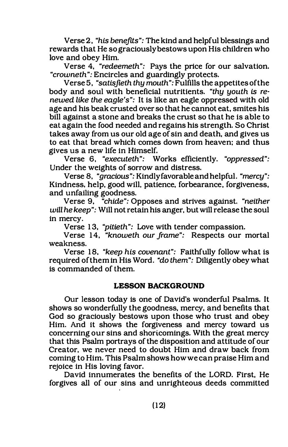Verse 2, "his benefits": The kind and helpful blessings and rewards that He so graciously bestows upon His children who love and obey Him.

Verse 4, "redeemeth": Pays the price for our salvation. "crowneth": Encircles and guardingly protects.

Verse 5, "satisjleth thy mouth": Fulfills the appetites ofthe body and soul with beneficial nutritients. "thy youth is renewed like the eagle's": It is like an eagle oppressed with old age and his beak crusted over so that he cannot eat, smites his bill against a stone and breaks the crust so that he is able to eat again the food needed and regains his strength. So Christ takes away from us our old age of sin and death, and gives us to eat that bread which comes down from heaven; and thus gives us a new life in Himself.

Verse 6, "executeth": Works efficiently. "oppressed": Under the weights of sorrow and distress.

Verse 8, "gracious": Kindly favorable and helpful. "mercy": Kindness. help, good will, patience, forbearance, forgiveness, and unfailing goodness.

Verse 9, "chide": Opposes and strives against. "neither will he keep": Will not retain his anger, but will release the soul in mercy.

Verse 1 3, "pitieth": Love with tender compassion.

Verse 14, "knoweth our frame": Respects our mortal weakness.

Verse 18, "keep his covenant": Faithfully follow what is required of them in His Word. "do them": Diligently obey what is commanded of them.

#### LESSON BACKGROUND

Our lesson today is one of David's wonderful Psalms. It shows so wonderfully the goodness, mercy, and benefits that God so graciously bestows upon those who trust and obey Him. And it shows the forgiveness and mercy toward us concerning our sins and shoricomings. With the great mercy that this Psalm portrays of the disposition and attitude of our Creator, we never need to doubt Him and draw back from coming to Him. This Psalm shows how we can praise Him and rejoice in His loving favor.

David innumerates the benefits of the LORD. First, He forgives all of our sins and unrighteous deeds committed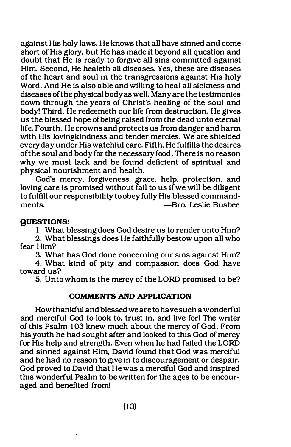against His holy laws. He knows that all have sinned and come short of His glory, but He has made it beyond all question and doubt that He is ready to forgive all sins committed against Him. Second, He healeth all diseases. Yes, these are diseases of the heart and soul in the transgressions against His holy Word. And He is also able and willing to heal all sickness and diseases of the physical body as well. Many are the testimonies down through the years of Christ's healing of the soul and body! Third, He redeemeth our life from destruction. He gives us the blessed hope ofbeing raised from the dead unto eternal life. Fourth. He crowns and protects us from danger and harm with His lovingkindness and tender mercies. We are shielded every day under His watchful care. Fifth, He fulfills the desires ofthe soul and body for the necessary food. There is no reason why we must lack and be found deficient of spiritual and physical nourishment and health.

God's mercy, forgiveness, grace, help, protection, and loving care is promised without fail to us if we will be diligent to fulfill our responsibility to obey fully His blessed commandments. -Bro. Leslie Busbee

# QUESTIONS:

1. What blessing does God desire us to render unto Him?

2. What blessings does He faithfully bestow upon all who fear Him?

3. What has God done concerning our sins against Him?

4. What kind of pity and compassion does God have toward us?

5. Unto whom is the mercy of the LORD promised to be?

#### COMMENTS AND APPLICATION

How thankful and blessed we are to have such a wonderful and merciful God to look to, trust in, and live for! The writer of this Psalm 103 knew much about the mercy of God. From his youth he had sought after and looked to this God of mercy for His help and strength. Even when he had failed the LORD and sinned against Him, David found that God was merciful and he had no reason to give in to discouragement or despair. God proved to David that He was a merciful God and inspired this wonderful Psalm to be written for the ages to be encouraged and benefited from!

,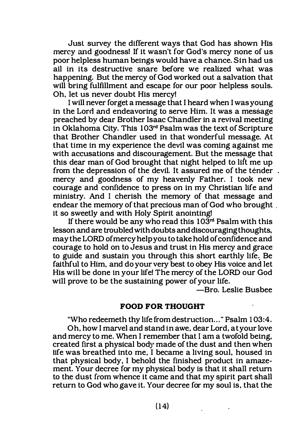Just survey the different ways that God has shown His mercy and goodness! If it wasn't for God's mercy none of us poor helpless human beings would have a chance. Sin had us all in its destructive snare before we realized what was happening. But the mercy of God worked out a salvation that will bring fulfillment and escape for our poor helpless souls. Oh, let us never doubt His mercy!

I will never forget a message that I heard when I was young in the Lord and endeavoring to serve Him. It was a message preached by dear Brother Isaac Chandler in a revival meeting in Oklahoma City. This  $103<sup>rd</sup>$  Psalm was the text of Scripture that Brother Chandler used in that wonderful message. At that time in my experience the devil was coming against me with accusations and discouragement. But the message that this dear man of God brought that night helped to lift me up from the depression of the devil. It assured me of the tender. mercy and goodness of my heavenly Father. I took new courage and confidence to press on in my Christian life and ministry. And I cherish the memory of that message and endear the memory of that precious man of God who brought . it so sweetly and with Holy Spirit anointing!

If there would be any who read this  $103<sup>rd</sup>$  Psalm with this lesson and are troubled with doubts and discouraging thoughts, may the LORD of mercy help you to take hold of confidence and courage to hold on to Jesus and trust in His mercy and grace to guide and sustain you through this short earthly life. Be faithful to Him, and do your very best to obey His voice and let His will be done in your life! The mercy of the LORD our God will prove to be the sustaining power of your life.

-Bro. Leslie Busbee

# FOOD FOR THOUGHT

"Who redeemeth thy life from destruction ... " Psalm 1 03:4. Oh, how I marvel and stand in awe, dear Lord, at your love and mercy to me. When I remember that I am a twofold being, created first a physical body made of the dust and then when life was breathed into me, I became a living soul, housed in that physical body, I behold the finished product in amazement. Your decree for my physical body is that it shall return to the dust from whence it came and that my spirit part shall return to God who gave it. Your decree for my soul is, that the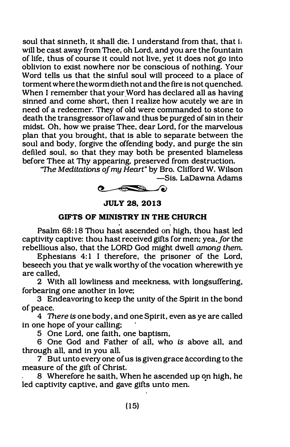soul that sinneth, it shall die. I understand from that, that i. will be cast away from Thee, oh Lord, and you are the fountain of life, thus of course it could not live, yet it does not go into oblivion to exist nowhere nor be conscious of nothing. Your Word tells us that the sinful soul will proceed to a place of torment where the worm dieth not and the fire is not quenched. When I remember that your Word has declared all as having sinned and come short, then I realize how acutely we are in need of a redeemer. They of old were commanded to stone to death the transgressor oflaw and thus be purged of sin in their midst. Oh, how we praise Thee, dear Lord, for the marvelous plan that you brought, that is able to separate between the soul and body, forgive the offending body, and purge the sin defiled soul, so that they may both be presented blameless before Thee at Thy appearing, preserved from destruction.

"The Meditations of my Heart" by Bro. Clifford W. Wilson -Sis. LaDawna Adams





# GIFTS OF MINISTRY IN THE CHURCH

Psalm 68: 18 Thou hast ascended on high, thou hast led captivity captive: thou hast received gifts for men; yea, for the rebellious also, that the LORD God might dwell among them.

Ephesians 4:1 I therefore, the prisoner of the Lord, beseech you that ye walk worthy of the vocation wherewith ye are called,

2 With all lowliness and meekness, with longsuffering, forbearing one another in love;

3 Endeavoring to keep the unity of the Spirit in the bond of peace.

4 There is one body, and one Spirit, even as ye are called in one hope of your calling;

5 One Lord, one faith, one baptism,

6 One God and Father of all, who is above all, and through all, and in you all.

7 But unto every one of us is given grace according to the measure of the gift of Christ.

8 Wherefore he saith, When he ascended up on high, he led captivity captive, and gave gifts unto men.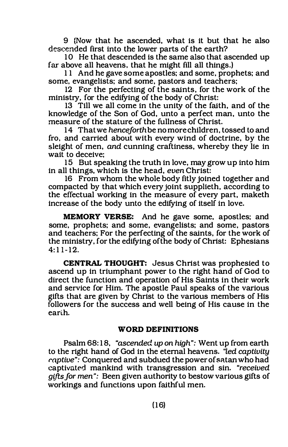9 (Now that he ascended, what is it but that he also deseended first into the lower parts of the earth?

10 He that descended is the same also that ascended up far above all heavens. that he might fill all things.)

11 And he gave some apostles; and some, prophets; and some, evangelists; and some, pastors and teachers;

12 For the perfecting of the saints, for the work of the ministry, for the edifying of the body of Christ:

13 Till we all come in the unity of the faith, and of the knowledge of the Son of God, unto a perfect man, unto the measure of the stature of the fullness of Christ.

14 That we henceforth be no more children, tossed to and fro, and carried about with every wind of doctrine, by the sleight of men, and cunning craftiness, whereby they lie in wait to deceive;

15 But speaking the truth in love, may grow up into him in all things, which is the head, even Christ:

16 From whom the whole body fitly joined together and compacted by that which every joint supplieth, according to the effectual working in the measure of every part, maketh increase of the body unto the edifying of itself in love.

MEMORY VERSE: And he gave some, apostles; and some, prophets; and some, evangelists; and some, pastors and teachers; For the perfecting of the saints, for the work of the ministry, for the edifying of the body of Christ: Ephesians  $4:11-12.$ 

CENTRAL THOUGHT: Jesus Christ was prophesied to ascend up in triumphant power to the right hand of God to direct the function and operation of His Saints in their work and service for Him. The apostle Paul speaks of the various gifts that are given by Christ to the various members of His followers for the success and well being of His cause in the earth.

# WORD DEFINITIONS

Psalm 68:18, "ascended up on high": Went up from earth to the right hand of God in the eternal heavens. "led captivity raptive": Conquered and subdued the power of satan who had captivated mankind with transgression and sin. "received gifts for men": Been given authority to bestow various gifts of workings and functions upon faithful men.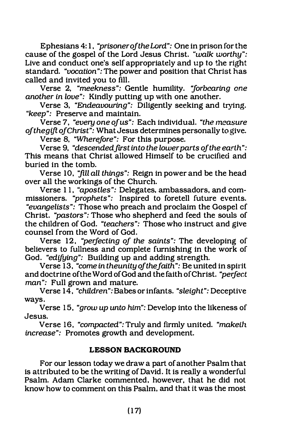Ephesians 4: 1, "prisoner of the Lord": One in prison for the cause of the gospel of the Lord Jesus Christ. "walk worthy": Live and conduct one's self appropriately and up to the right standard. "vocation": The power and position that Christ has called and invited you to fill.

Verse 2, "meekness": Gentle humility. 'jorbearing one another in love": Kindly putting up with one another.

Verse 3, "Endeavouring": Diligently seeking and trying. "keep": Preserve and maintain.

Verse 7, "every one of us": Each individual. "the measure ofthegiftofChrist": What Jesus determines personally to give.

Verse 8, "Wherefore": For this purpose.

Verse 9, "descended first into the lower parts of the earth": This means that Christ allowed Himself to be crucified and buried in the tomb.

Verse 10, "ftll all things": Reign in power and be the head over all the workings of the Church.

Verse 1 1, "apostles": Delegates. ambassadors, and commissioners. "prophets": Inspired to foretell future events. "evangelists": Those who preach and proclaim the Gospel cf Christ. "pastors": Those who shepherd and feed the souls of the children of God. "teachers": Those who instruct and give counsel from the Word of God.

Verse 12, "perfecting of the saints": The developing of believers to fullness and complete furnishing in the work of God. "edifying": Building up and adding strength.

Verse 13, "come in theunity of the faith": Be united in spirit and doctrine ofthe Word of God and the faith of Christ. "perfect man": Full grown and mature.

Verse 14, "children": Babes or infants. "sleight": Deceptive ways.

Verse 15, "grow up unto him": Develop into the likeness of Jesus.

Verse 16, "compacted": Truly and firmly united. "makelh increase": Promotes growth and development.

#### LESSON BACKGROUND

For our lesson today we draw a part of another Psalm that is attributed to be the writing of David. It is really a wonderful Psalm. Adam Clarke commented. however, that he did not know how to comment on this Psalm, and that it was the most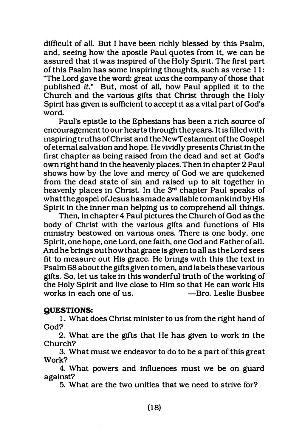difficult of all. But I have been richly blessed by this Psalm, and, seeing how the apostle Paul quotes from it, we can be assured that it was inspired of the Holy Spirit. The first part of this Psalm has some inspiring thoughts, such as verse 1 1 : "The Lord gave the word: great was the company of those that published it." But, most of all, how Paul applied it to the Church and the various gifts that Christ through the Holy Spirit has given is sufficient to accept it as a vital part of God's word.

Paul's epistle to the Ephesians has been a rich source of encouragement to our hearts through the years. It is filled with inspiring truths of Christ and the New Testament of the Gospel of eternal salvation and hope. He vividly presents Christ in the first chapter as being raised from the dead and set at God's own right hand in the heavenly places. Then in chapter 2 Paul shows how by the love and mercy of God we are quickened from the dead state of sin and raised up to sit together in heavenly places in Christ. In the 3rd chapter Paul speaks of what the gospel of Jesus has made available to mankind by His Spirit in the inner man helping us to comprehend all things.

Then, in chapter 4 Paul pictures the Church of God as the body of Christ with the various gifts and functions of His ministry bestowed on various ones. There is one body, one Spirit, one hope, one Lord, one faith, one God and Father of all. And he brings out how that grace is given to all as the Lord sees fit to measure out His grace. He brings with this the text in Psalm 68 about the gifts given to men, and labels these various gifts. So, let us take in this wonderful truth of the working of the Holy Spirit and live close to Him so that He can work His works in each one of us.

#### QUESTIONS:

1. What does Christ minister to us from the right hand of God?

2. What are the gifts that He has given to work in the Church?

3. What must we endeavor to do to be a part of this great Work?

4. What powers and influences must we be on guard against?

5. What are the two unities that we need to strive for?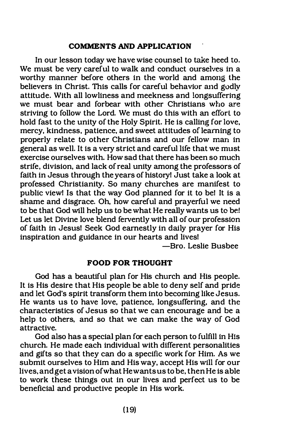# COMMENTS AND APPLICATION

In our lesson today we have wise counsel to take heed to. We must be very careful to walk and conduct ourselves in a worthy manner before others in the world and among the believers in Christ. This calls for careful behavior and godly attitude. With all lowliness and meekness and longsuffering we must bear and forbear with other Christians who are striving to follow the Lord. We must do this with an effort to hold fast to the unity of the Holy Spirit. He is calling for love, mercy, kindness, patience, and sweet attitudes of learning to properly relate to other Christians and our fellow man in general as well. It is a very strict and careful life that we must exercise ourselves with. How sad that there has been so much strife, division, and lack of real unity among the professors of faith in Jesus through the years of history! Just take a look at professed Christianity. So many churches are manifest to public view! Is that the way God planned for it to bel It is a shame and disgrace. Oh, how careful and prayerful we need to be that God will help us to be what He really wants us to bel Let us let Divine love blend fervently with all of our profession of faith in Jesus! Seek God earnestly in daily prayer for His inspiration and guidance in our hearts and lives!

-Bro. Leslie Busbee

#### FOOD FOR THOUGHT

God has a beautiful plan for His church and His people. It is His desire that His people be able to deny self and pride and let God's spirit transform them into becoming like Jesus. He wants us to have love, patience, longsuffering, and the characteristics of Jesus so that we can encourage and be a help to others, and so that we can make the way of God attractive.

God also has a special plan for each person to fulfill in His church. He made each individual with different personalities and gifts so that they can do a specific work for Him. As we submit ourselves to Him and His way, accept His will for our lives, and get a vision of what He wants us to be, then He is able to work these things out in our lives and perfect us to be beneficial and productive people in His work.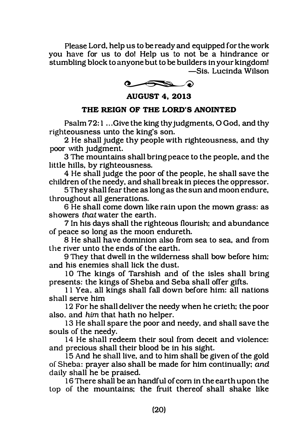Please Lord, help us to be ready and equipped for the work you have for us to do! Help us to not be a hindrance or stumbling block to anyone but to be builders in your kingdom! -Sis. Lucinda Wilson

 $\bullet \bullet \bullet$ 

AUGUST 4, 2013

# THE REIGN OF THE LORD'S ANOINTED

Psalm 72: 1 ... Give the king thy judgments, O God, and thy righteousness unto the king's son.

2 He shall judge thy people with righteousness, and thy poor with judgment.

3 The mountains shall bring peace to the people, and the little hills, by righteousness.

4 He shall judge the poor of the people, he shall save the children of the needy, and shall break in pieces the oppressor.

5 They shall fear thee as long as the sun and moon endure, throughout all generations.

6 He shall come down like rain upon the mown grass: as showers that water the earth.

7 In his days shall the righteous flourish; and abundance of peace so long as the moon endureth.

8 He shall have dominion also from sea to sea, and from the river unto the ends of the earth.

9 They that dwell in the wilderness shall bow before him: and his enemies shall lick the dust.

10 The kings of Tarshish and of the isles shall bring presents: the kings of Sheba and Seba shall offer gifts.

1 1 Yea, all kings shall fall down before him: all nations shall serve him

12 For he shall deliver the needy when he crieth; the poor also. and him that hath no helper.

13 He shall spare the poor and needy, and shall save the souls of the needy.

14 He shall redeem their soul from deceit and violence: and precious shall their blood be in his sight.

15 And he shall live, and to him shall be given of the gold of Sheba: prayer also shall be made for him continually: and daily shall he be praised.

16 There shall be an handful of com in the earth upon the top of the mountains: the fruit thereof shall shake like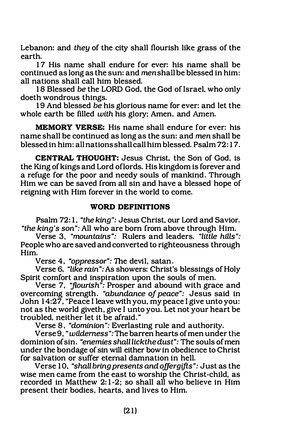Lebanon: and they of the city shall flourish like grass of the earth.

17 His name shall endure for ever: his name shall be continued as long as the sun: and men shall be blessed in him: all nations shall call him blessed.

18 Blessed be the LORD God, the God of Israel, who only doeth wondrous things.

19 And blessed be his glorious name for ever: and let the whole earth be filled with his glory; Amen. and Amen.

MEMORY VERSE: His name shall endure for ever: his name shall be continued as long as the sun: and men shall be blessed in him: all nations shall call him blessed. Psalm 72: 1 7.

CENTRAL THOUGHT: Jesus Christ. the Son of God, is the King of kings and Lord oflords. His kingdom is forever and a refuge for the poor and needy souls of mankind. Through Him we can be saved from all sin and have a blessed hope of reigning with Him forever in the world to come.

#### WORD DEFINITIONS

Psalm 72: 1. "the king": Jesus Christ, our Lord and Savior. "the king's son": All who are born from above through Him.

Verse 3, "mountains": Rulers and leaders. "little hills": People who are saved and converted to righteousness through Him.

Verse 4. "oppressor": The devil, satan.

Verse 6. "like rain": As showers: Christ's blessings of Holy Spirit comfort and inspiration upon the souls of men.

Verse 7, "flourish": Prosper and abound with grace and overcoming strength. "abundance of peace": Jesus said in John 1 4:27. "Peace I leave with you. my peace I give unto you: not as the world giveth, give I unto you. Let not your heart be troubled. neither let it be afraid."

Verse B. "dominion": Everlasting rule and authority.

Verse 9, "*wilderness*": The barren hearts of men under the dominion of sin. "enemies shalllickthedust": The souls of men under the bondage of sin will either bow in obedience to Christ for salvation or suffer eternal damnation in hell.

Verse 10, "shall bring presents and offer gifts": Just as the wise men came from the east to worship the Christ-child, as recorded in Matthew 2:1-2; so shall all who believe in Him present their bodies, hearts, and lives to Him.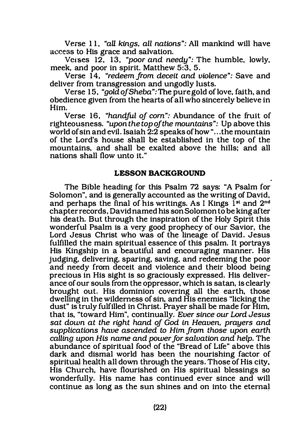Verse 11, "all kings, all nations": All mankind will have access to His grace and salvation.

Verses  $12$ ,  $13$ , "poor and needy": The humble, lowly, meek, and poor in spirit. Matthew 5:3, 5.

Verse 14, "redeem from deceit and violence": Save and deliver from transgression and ungodly lusts.

Verse 15, "gold of Sheba": The pure gold of love, faith, and obedience given from the hearts of all who sincerely believe in Him.

Verse 16, "handful of com": Abundance of the fruit of righteousness. "upon the top of the mountains": Up above this world of sin and evil. Isaiah 2:2 speaks of how "...the mountain of the Lord's house shall be established in the top of the mountains, and shall be exalted above the hills; and all nations shall flow unto it."

#### LESSON BACKGROUND

The Bible heading for this Psalm 72 says: "A Psalm for Solomon", and is generally accounted as the writing of David, and perhaps the final of his writings. As I Kings  $\tilde{I}^{st}$  and  $2^{nd}$ chapter records, David named his son Solomon to be king after his death. But through the inspiration of the Holy Spirit this wonderful Psalm is a very good prophecy of our Savior, the Lord Jesus Christ who was of the lineage of David. Jesus fulfilled the main spiritual essence of this psalm. It portrays His Kingship in a beautiful and encouraging manner. His judging, delivering, sparing, saving, and redeeming the poor and needy from deceit and violence and their blood being precious in His sight is so graciously expressed. His deliverance of our souls from the oppressor, which is satan, is clearly brought out. His dominion covering all the earth, those dwelling in the wilderness of sin, and His enemies "licking the dust" is truly fulfilled in Christ. Prayer shall be made for Him, that is, "toward Him", continually. Ever since our Lord Jesus sat down at the right hand of God in Heaven, prayers and supplications have ascended to Him from those upon earth calling upon His name and power for salvation and help. The abundance of spiritual food of the "Bread of Life" above this dark and dismal world has been the nourishing factor of spiritual health all down through the years. Those of His city, His Church, have flourished on His spiritual blessings so wonderfully. His name has continued ever since and will continue as long as the sun shines and on into the eternal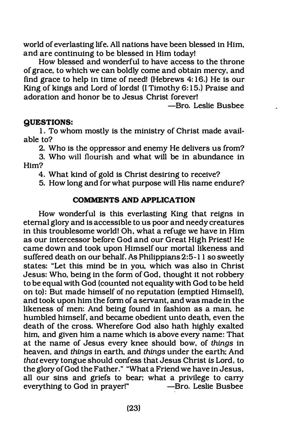world of everlasting life. All nations have been blessed in Him, and are continuing to be blessed in Him today!

How blessed and wonderful to have access to the throne of grace, to which we can boldly come and obtain mercy, and find grace to help in time of need! (Hebrews 4:16.) He is our King of kings and Lord of lords! (I Timothy 6:15.) Praise and adoration and honor be to Jesus Christ forever!

-Bro. Leslie Busbee

# QUESTIONS:

1. To whom mostly is the ministry of Christ made available to?

2. Who is the oppressor and enemy He delivers us from?

3. Who will flourish and what will be in abundance in Him?

4. What kind of gold is Christ desiring to receive?

5. How long and for what purpose will His name endure?

# COMMENTS AND APPLICATION

How wonderful is this everlasting King that reigns in eternal glory and is accessible to us poor and needy creatures in this troublesome world! Oh, what a refuge we have in Him as our intercessor before God and our Great High Priest! He came down and took upon Himself our mortal likeness and suffered death on our behalf. As Philippians 2:5- 1 1 so sweetly states: "Let this mind be in you, which was also in Christ Jesus: Who, being in the form of God, thought it not robbery to be equal with God (counted not equality with God to be held on to): But made himself of no reputation (emptied Himself), and took upon him the form of a servant, and was made in the likeness of men: And being found in fashion as a man, he humbled himself, and became obedient unto death, even the death of the cross. Wherefore God also hath highly exalted him, and given him a name which is above every name: That at the name of Jesus every knee should bow, of things in heaven, and things in earth, and things under the earth: And that every tongue should confess that Jesus Christ is Lord, to the glory of God the Father." "What a Friend we have in Jesus, all our sins and griefs to bear: what a privilege to carry everything to God in prayer!" Bro. Leslie Busbee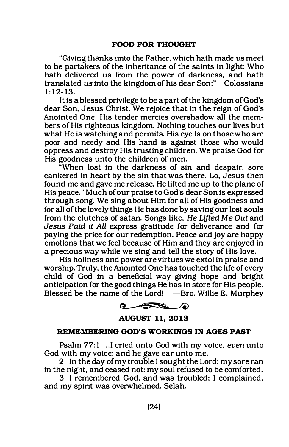"Giving thanks unto the Father, which hath made us meet to be partakers of the inheritance of the saints in light: Who hath delivered us from the power of darkness, and hath translated us into the kingdom of his dear Son:" Colossians  $1:12-13.$ 

It is a blessed privilege to be a part of the kingdom of God's dear Son, Jesus Christ. We rejoice that in the reign of God's Anointed One, His tender mercies overshadow all the members of His righteous kingdom. Nothing touches our lives but what He is watching and permits. His eye is on those who are poor and needy and His hand is against those who would oppress and destroy His trusting children. We praise God for His goodness unto the children of men.

"When lost in the darkness of sin and despair, sore cankered in heart by the sin that was there. Lo, Jesus then found me and gave me release, He lifted me up to the plane of His peace." Much of our praise to God's dear Son is expressed through song. We sing about Him for all of His goodness and for all of the lovely things He has done by saving our lost souls from the clutches of satan. Songs like, He Lifted Me Out and Jesus Paid it All express gratitude for deliverance and for paying the price for our redemption. Peace and joy are happy emotions that we feel because of Him and they are enjoyed in a precious way while we sing and tell the story of His love.

His holiness and power are virtues we extol in praise and worship. Truly, the Anointed One has touched the life of every child of God in a beneficial way giving hope and bright anticipation for the good things He has in store for His people. Blessed be the name of the Lord! —Bro. Willie E. Murphey



AUGUST 11, 2013

#### REMEMBERING GOD'S WORKINGS IN AGES PAST

Psalm 77:1 ... I cried unto God with my voice, even unto God with my voice: and he gave ear unto me.

2 In the day of my trouble I sought the Lord: my sore ran in the night, and ceased not: my soul refused to be comforted.

3 I remembered God, and was troubled: I complained, and my spirit was overwhelmed. Selah.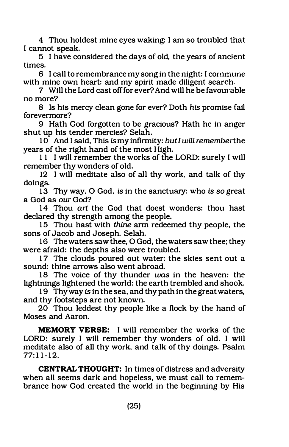4 Thou holdest mine eyes waking: I am so troubled that I cannot speak.

5 I have considered the days of old, the years of ancient times.

6 I call to remembrance my song in the night: I cornmune with mine own heart: and my spirit made diligent search.

7 Will the Lord cast off for ever? And will he be favourable no more?

8 Is his mercy clean gone for ever? Doth his promise fail forevermore?

9 Hath God forgotten to be gracious? Hath he in anger shut up his tender mercies? Selah.

 $10<sup>-</sup>$  And I said, This is my infirmity: but I will remember the years of the right hand of the most High.

11 I will remember the works of the LORD: surely I will remember thy wonders of old.

12 I will meditate also of all thy work, and talk of thy doings.

13 Thy way, 0 God, is in the sanctuary: who is so great a God as our God?

14 Thou art the God that doest wonders: thou hast declared thy strength among the people.

15 Thou hast with thine arm redeemed thy people, the sons of Jacob and Joseph. Selah.

16 Thewaters saw thee, O God, the waters saw thee: they were afraid: the depths also were troubled.

17 The clouds poured out water: the skies sent out a sound: thine arrows also went abroad.

18 The voice of thy thunder was in the heaven: the lightnings lightened the world: the earth trembled and shook.

19 Thy way is in the sea, and thy path in the great waters, and thy footsteps are not known.

20 Thou leddest thy people like a flock by the hand of Moses and Aaron.

MEMORY VERSE: I will remember the works of the LORD: surely I will remember thy wonders of old. I will meditate also of all thy work, and talk of thy doings. Psalm  $77:11-12.$ 

CENTRAL THOUGHT: In times of distress and adversity when all seems dark and hopeless, we must call to remembrance how God created the world in the beginning by His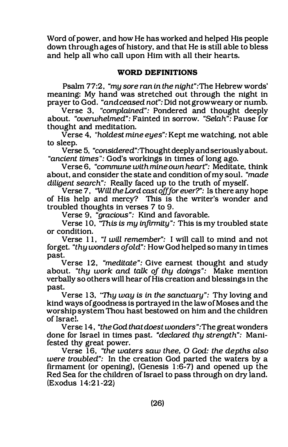Word of power, and how He has worked and helped His people down through ages of history, and that He is still able to bless and help all who call upon Him with all their hearts.

# WORD DEFINITIONS

Psalm 77:2, "my sore ran in the night":The Hebrew words' meaning: My hand was stretched out through the night in prayer to God. "and ceased not": Did not grow weary or numb.

Verse 3, "complained": Pondered and thought deeply about. "overwhelmed": Fainted in sorrow. "Selah": Pause for thought and meditation.

Verse 4, "holdest mine eyes": Kept me watching, not able to sleep.

Verse 5, "considered" :Thought deeply and seriously about. "ancient times": God's workings in times of long ago.

Verse 6, "commune with mine own heart": Meditate, think about, and consider the state and condition of my soul. "made diligent search": Really faced up to the truth of myself.

Verse 7. "Will the Lord cast off for ever?": Is there any hope of His help and mercy? This is the writer's wonder and troubled thoughts in verses 7 to 9.

Verse 9, "gracious": Kind and favorable.

Verse 10, "This is my infirmity": This is my troubled state or condition.

Verse 11, "I will remember": I will call to mind and not forget. "thy wonders of old": How God helped so many in times past.

Verse 12, "meditate": Give earnest thought and study about. "thy work and talk of thy doings": Make mention verbally so others will hear of His creation and blessings in the past.

Verse 13, "Thy way is in the sanctuary": Thy loving and kind ways of goodness is portrayed in the law of Moses and the worship system Thou hast bestowed on him and the children of Israel.

Verse 14, "theGod thatdoest wonders":The greatwonders done for Israel in times past. "declared thy strength": Manifested thy great power.

Verse 16, "the waters saw thee, O God: the depths also were troubled": In the creation God parted the waters by a firmament (or opening), (Genesis 1 :6-7} and opened up the Red Sea for the children of lsrael to pass through on dry land.  $(Exodus 14:21-22)$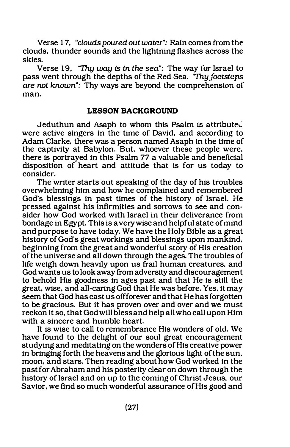Verse 17, "clouds poured out water": Rain comes from the clouds. thunder sounds and the lightning flashes across the skies.

Verse 19. "Thy way is in the sea": The way for Israel to pass went through the depths of the Red Sea. *Thy footsteps* are not known": Thy ways are beyond the comprehension of man.

#### LESSON BACKGROUND

Jeduthun and Asaph to whom this Psalm is attributed were active singers in the time of David. and according to Adam Clarke. there was a person named Asaph in the time of the captivity at Babylon. But. whoever these people were. there is portrayed in this Psalm 77 a valuable and beneficial disposition of heart and attitude that is for us today to consider.

The writer starts out speaking of the day of his troubles overwhelming him and how he complained and remembered God's blessings in past times of the history of Israel. He pressed against his infirmities and sorrows to see and consider how God worked with Israel in their deliverance from bondage in Egypt. This is a very wise and helpful state of mind and purpose to have today. We have the Holy Bible as a great history of God's great workings and blessings upon mankind. beginning from the great and wonderful story of His creation ofthe universe and all down through the ages. The troubles of life weigh down heavily upon us frail human creatures, and God wants us to look away from adversity and discouragement to behold His goodness in ages past and that He is still the great. wise. and all-caring God that He was before. Yes. it may seem that God has cast us off forever and that He has forgotten to be gracious. But it has proven over and over and we must reckon it so. that God will bless and help all who call upon Him with a sincere and humble heart.

It is wise to call to remembrance His wonders of old. We have found to the delight of our soul great encouragement studying and meditating on the wonders of His creative power in bringing forth the heavens and the glorious light of the sun, moon. and stars. Then reading about how God worked in the past for Abraham and his posterity clear on down through the history of Israel and on up to the coming of Christ Jesus, our Savior. we find so much wonderful assurance of His good and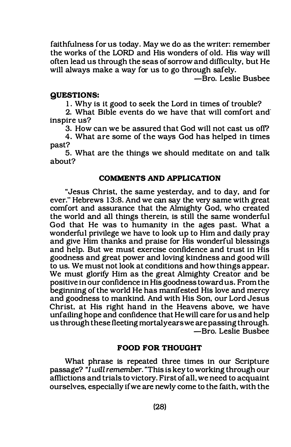faithfulness for us today. May we do as the writer: remember the works of the LORD and His wonders of old. His way will often lead us through the seas of sorrow and difficulty, but He will always make a way for us to go through safely.

-Bro. Leslie Busbee

#### QUESTIONS:

1. Why is it good to seek the Lord in times of trouble?

2. What Bible events do we have that will comfort and· inspire us?

3. How can we be assured that God will not cast us off?

4. What are some of the ways God has helped in times past?

5. What are the things we should meditate on and talk about?

#### COMMENTS AND APPLICATION

"Jesus Christ, the same yesterday, and to day, and for ever." Hebrews 13:8. And we can say the very same with great comfort and assurance that the Almighty God, who created the world and all things therein, is still the same wonderful God that He was to humanity in the ages past. What a wonderful privilege we have to look up to Him and daily pray and give Him thanks and praise for His wonderful blessings and help. But we must exercise confidence and trust in His goodness and great power and loving kindness and good will to us. We must not look at conditions and how things appear. We must glorify Him as the great Almighty Creator and be positive in our confidence in His goodness toward us. From the beginning of the world He has manifested His love and mercy and goodness to mankind. And with His Son, our Lord Jesus Christ. at His right hand in the Heavens above, we have unfailing hope and confidence that He will care for us and help us through these fleeting mortal years we are passing through. -Bro. Leslie Busbee

#### FOOD FOR THOUGHT

What phrase is repeated three times in our Scripture passage? "I will remember. "This is key to working through our afflictions and trials to victory. First of all, we need to acquaint ourselves, especially if we are newly come to the faith, with the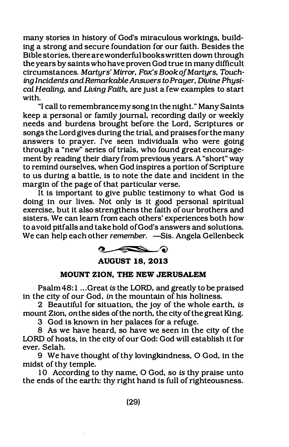many stories in history of God's miraculous workings, building a strong and secure foundation for our faith. Besides the Bible stories, there are wonderful books written down through the years by saints who have proven God true in many difficult circumstances. Martyrs' Mirror, Fox's Book of Martyrs, Touching Incidents and. Remarkable Answers to Prayer, Divine Physical Healing, and Living Faith. are just a few examples to start with.

"I call to remembrance my song in the night." Many Saints keep a personal or family journal, recording daily or weekly needs and burdens brought before the Lord, Scriptures or songs the Lord gives during the trial, and praises for the many answers to prayer. I've seen individuals who were going through a "new" series of trials, who found great encouragement by reading their diary from previous years. A "short" way to remind ourselves, when God inspires a portion of Scripture to us during a battle, is to note the date and incident in the margin of the page of that particular verse.

It is important to give public testimony to what God is doing in our lives. Not only is it good personal spiritual exercise, but it also strengthens the faith of our brothers and sisters. We can learn from each others' experiences both how to avoid pitfalls and take hold of God's answers and solutions. We can help each other *remember*. —Sis. Angela Gellenbeck



# AUGUST 18, 2013

#### MOUNT ZION, THE NEW JERUSALEM

Psalm 48:1 ... Great is the LORD, and greatly to be praised in the city of our God, in the mountain of his holiness.

2 Beautiful for situation, the joy of the whole earth, is mount Zion, on the sides of the north, the city of the great King.

3 God is known in her palaces for a refuge.

8 As we have heard, so have we seen in the city of the LORD of hosts, in the city of our God: God will establish it for ever. Selah.

9 We have thought of thy lovingkindness, 0 God, in the midst of thy temple.

10 According to thy name, 0 God, so is thy praise unto the ends of the earth: thy right hand is full of righteousness.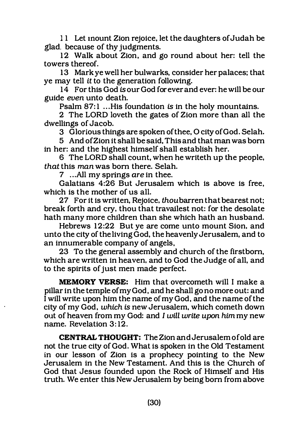11 Let mount Zion rejoice, let the daughters of Judah be glad. because of thy judgments.

12 Walk about Zion, and go round about her: tell the towers thereof.

13 Mark ye well her bulwarks. consider her palaces; that ye may tell it to the generation following.

14 For this God is our God for ever and ever: he will be our guide even unto death.

Psalm 87:1 ... His foundation is in the holy mountains.

2 The LORD loveth the gates of Zion more than all the dwellings of Jacob.

3 Glorious things are spoken of thee. 0 city of God. Selah.

5 And of Zion it shall be said, This and that man was born in her: and the highest himself shall establish her.

6 The LORD shall count, when he writeth up the people. that this man was born there. Selah.

7 ...All my springs are in thee.

Galatians 4:26 But Jerusalem which is above is free. which is the mother of us all.

27 For it is written, Rejoice. thou barren that bearest not; break forth and cry. thou that travailest not: for the desolate hath many more children than she which hath an husband.

Hebrews 12:22 But ye are come unto mount Sion, and unto the city of the living God, the heavenly Jerusalem. and to an innumerable company of angels.

23 To the general assembly and church of the firstborn. which are written in heaven. and to God the Judge of all, and to the spirits of just men made perfect.

MEMORY VERSE: Him that overcometh will I make a pillar in the temple of my God. and he shall go no more out: and I will write upon him the name of my God, and the name of the city of my God, which is new Jerusalem, which cometh down out of heaven from my God: and I will write upon him my new name. Revelation 3: 12.

CENTRAL THOUGHT: The Zion and Jerusalem of old are not the true city of God. What is spoken in the Old Testament in our lesson of Zion is a prophecy pointing to the New Jerusalem in the New Testament. And this is the Church of God that Jesus founded upon the Rock of Himself and His truth. We enter this New Jerusalem by being born from above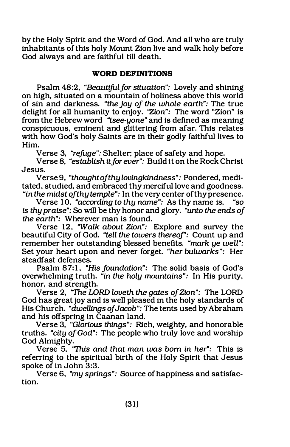by the Holy Spirit and the Word of God. And all who are truly inhabitants of this holy Mount Zion live and walk holy before God always and are faithful till death.

# WORD DEFINITIONS

Psalm 48:2, "Beautiful for situation": Lovely and shining on high, situated on a mountain of holiness above this world of sin and darkness. "the joy of the whole earth": The true delight for all humanity to enjoy. "Zion": The word "Zion" is from the Hebrew word "tsee-yone" and is defined as meaning conspicuous, eminent and glittering from afar. This relates with how God's holy Saints are in their godly faithful lives to Him.

Verse 3, "refuge": Shelter; place of safety and hope.

Verse 8, "establish it for ever": Build it on the Rock Christ Jesus.

Verse 9, "thought of thy lovingkindness": Pondered, meditated, studied, and embraced thy merciful love and goodness.

"in the midst of thy temple": In the very center of thy presence.<br>Verse 10. "accordina to thu name": As thy name is. "so Verse 10, "according to thy name": As thy name is, is thy praise": So will be thy honor and glory. "unto the ends of the earth": Wherever man is found.

Verse 12, "Walk about Zion": Explore and survey the beautiful City of God. "tell the towers thereof": Count up and remember her outstanding blessed benefits. "mark ye well": Set your heart upon and never forget. "her bulwarks": Her steadfast defenses.

Psalm 87:1, "His foundation": The solid basis of God's overwhelming truth. "in the holy mountains": In His purity, honor, and strength.

Verse 2, "The LORD loveth the gates of Zion": The LORD God has great joy and is well pleased in the holy standards of His Church. "dwellings of Jacob": The tents used by Abraham and his offspring in Caanan land.

Verse 3, "Glorious things": Rich, weighty, and honorable truths. "city of God": The people who truly love and worship God Almighty.

Verse 5, 'This and that man was born in her": This is referring to the spiritual birth of the Holy Spirit that Jesus spoke of in John 3:3.

Verse 6, "my springs": Source of happiness and satisfaction.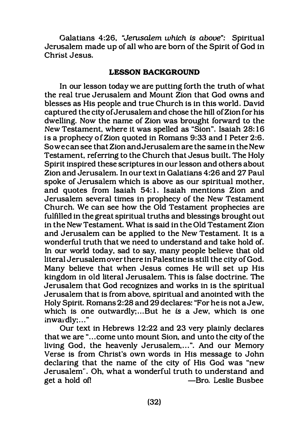Galatians 4:26, "Jerusalem which is above": Spiritual Jerusalem made up of all who are born of the Spirit of God in Christ Jesus.

#### LESSON BACKGROUND

In our lesson today we are putting forth the truth of what the real true Jerusalem and Mount Zion that God owns and blesses as His people and true Church is in this world. David captured the city of Jerusalem and chose the hill of Zion for his dwelling. Now the name of Zion was brought forward to the New Testament, where it was spelled as "Sion". Isaiah 28: 16 is a prophecy of Zion quoted in Romans 9:33 and I Peter 2:6. So we can see that Zion and Jerusalem are the same in the New Testament, referring to the Church that Jesus built. The Holy Spirit inspired these scriptures in our lesson and others about Zion and Jerusalem. In our text in Galatians 4:26 and 27 Paul spoke of Jerusalem which is above as our spiritual mother, and quotes from Isaiah 54:1. Isaiah mentions Zion and Jerusalem several times in prophecy of the New Testament Church. We can see how the Old Testament prophecies are fulfilled in the great spiritual truths and blessings brought out in the New Testament. What is said in the Old Testament Zion and Jerusalem can be applied to the New Testament. It is a wonderful truth that we need to understand and take hold of. In our world today, sad to say, many people believe that old literal Jerusalem over there in Palestine is still the city of God. Many believe that when Jesus comes He will set up His kingdom in old literal Jerusalem. This is false doctrine. The Jerusalem that God recognizes and works in is the spiritual Jerusalem that is from above, spiritual and anointed with the Holy Spirit. Romans 2:28 and 29 declares: "For he is not a Jew, which is one outwardly;...But he is a Jew, which is one inwardly;..."

Our text in Hebrews 12:22 and 23 very plainly declares that we are "... come unto mount Sion, and unto the city of the living God, the heavenly Jerusalem,...". And our Memory Verse is from Christ's own words in His message to John declaring that the name of the city of His God was "new Jerusalem". Oh, what a wonderful truth to understand and get a hold of! -Bro. Leslie Busbee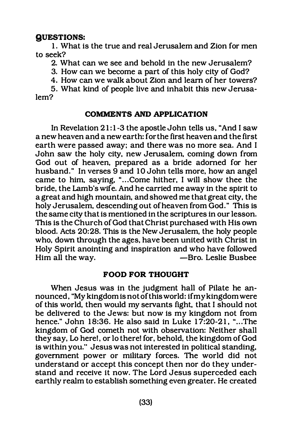# QUESTIONS:

1. What is the true and real Jerusalem and Zion for men to seek?

2. What can we see and behold in the new Jerusalem?

3. How can we become a part of this holy city of God?

4. How can we walk about Zion and learn of her towers?

5. What kind of people live and inhabit this new Jerusalem?

# COMMENTS AND APPLICATION

In Revelation 21:1-3 the apostle John tells us, "And I saw a new heaven and a new earth: for the first heaven and the first earth were passed away: and there was no more sea. And I John saw the holy city, new Jerusalem, coming down from God out of heaven, prepared as a bride adorned for her husband." In verses 9 and 10 John tells more, how an angel came to him, saying, "... Come hither, I will show thee the bride, the Lamb's wife. And he carried me away in the spirit to a great and high mountain, and showed me that great city, the holy Jerusalem, descending out of heaven from God." This is the same city that is mentioned in the scriptures in our lesson. This is the Church of God that Christ purchased with His own blood. Acts 20:28. This is the New Jerusalem, the holy people who, down through the ages, have been united with Christ in Holy Spirit anointing and inspiration and who have followed  $H$ im all the way.  $\overline{\phantom{a}}$   $\overline{\phantom{a}}$   $\overline{\phantom{a}}$   $\overline{\phantom{a}}$   $\overline{\phantom{a}}$   $\overline{\phantom{a}}$   $\overline{\phantom{a}}$   $\overline{\phantom{a}}$   $\overline{\phantom{a}}$   $\overline{\phantom{a}}$   $\overline{\phantom{a}}$   $\overline{\phantom{a}}$   $\overline{\phantom{a}}$   $\overline{\phantom{a}}$   $\overline{\phantom{a}}$   $\overline{\phantom{a}}$   $\overline{\phantom{a}}$ 

#### FOOD FOR THOUGHT

When Jesus was in the judgment hall of Pilate he announced, "My kingdom is not of this world: if my kingdom were of this world, then would my servants fight, that I should not be delivered to the Jews: but now is my kingdom not from hence." John 18:36. He also said in Luke  $17:20-21$ , "...The kingdom of God cometh not with observation: Neither shall they say, Lo here!, or lo there! for, behold, the kingdom of God is within you." Jesus was not interested in political standing, government power or military forces. The world did not understand or accept this concept then nor do they understand and receive it now. The Lord Jesus superceded each earthly realm to establish something even greater. He created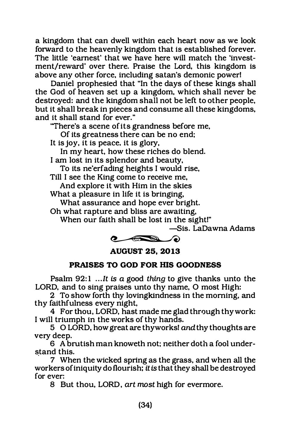a kingdom that can dwell within each heart now as we look forward to the heavenly kingdom that is established forever. The little 'earnest' that we have here will match the 'investment/reward' over there. Praise the Lord, this kingdom is above any other force, including satan's demonic power!

Daniel prophesied that "In the days of these kings shall the God of heaven set up a kingdom, which shall never be destroyed: and the kingdom shall not be left to other people, but it shall break in pieces and consume all these kingdoms, and it shall stand for ever."

"There's a scene of its grandness before me,

Of its greatness there can be no end;

It is joy, it is peace. it is glory,

In my heart, how these riches do blend.

I am lost in its splendor and beauty,

To its ne'erfading heights I would rise,

Till I see the King come to receive me, And explore it with Him in the skies

What a pleasure in life it is bringing,

What assurance and hope ever bright.

Oh what rapture and bliss are awaiting,

When our faith shall be lost in the sight!"

-5is. LaDawna Adams



AUGUST 25, 2013

# PRAISES TO GOD FOR HIS GOODNESS

Psalm  $92:1$  ... It is a good thing to give thanks unto the LORD, and to sing praises unto thy name, 0 most High:

2 To show forth thy lovingkindness in the morning, and thy faithfulness every night,

4 For thou, LORD, hast made me glad through thy work: I will triumph in the works of thy hands.

5 O LORD, howgreatare thyworksl and thy thoughts are very deep.

6 A brutish man knoweth not; neither doth a fool understand this. ·

7 When the wicked spring as the grass, and when all the workers of iniquity do flourish; it is that they shall be destroyed for ever:

8 But thou, LORD, art most high for evermore.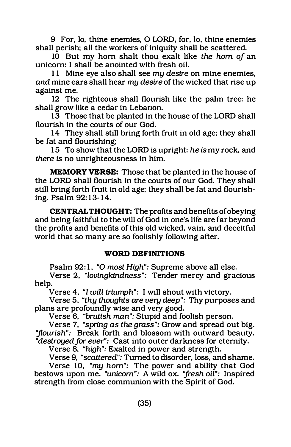9 For, lo, thine enemies, 0 LORD, for, lo, thine enemies shall perish; all the workers of iniquity shall be scattered.

10 But my hom shalt thou exalt like the hom of an unicorn: I shall be anointed with fresh oil.

11 Mine eye also shall see my desire on mine enemies, and mine ears shall hear my desire of the wicked that rise up against me.

12 The righteous shall flourish like the palm tree: he shall grow like a cedar in Lebanon.

13 Those that be planted in the house of the LORD shall flourish in the courts of our God.

14 They shall still bring forth fruit in old age; they shall be fat and flourishing;

15 To show that the LORD is upright: he is my rock, and there is no unrighteousness in him.

MEMORY VERSE: Those that be planted in the house of the LORD shall flourish in the courts of our God. They shall still bring forth fruit in old age; they shall be fat and flourishing. Psalm 92: 1 3- 14.

CENTRAL THOUGHT: The profits and benefits of obeying and being faithful to the will of God in one's life are far beyond the profits and benefits of this old wicked, vain, and deceitful world that so many are so foolishly following after.

# WORD DEFINITIONS

Psalm 92:1, "O most High": Supreme above all else.

Verse 2, "lovingkindness": Tender mercy and gracious help.

Verse 4, "I will triumph": I will shout with victory.

Verse 5, "thy thoughts are very deep": Thy purposes and plans are profoundly wise and very good.

Verse 6, "brutish man": Stupid and foolish person.

Verse 7, "spring as the grass": Grow and spread out big. "flourish": Break forth and blossom with outward beauty. "destroyed for ever": Cast into outer darkness for eternity.

Verse 8, "high": Exalted in power and strength.

Verse 9, "scattered": Turned to disorder, loss, and shame.

Verse 10, "my hom": The power and ability that God bestows upon me. "unicorn": A wild ox. 'fresh oil": Inspired strength from close communion with the Spirit of God.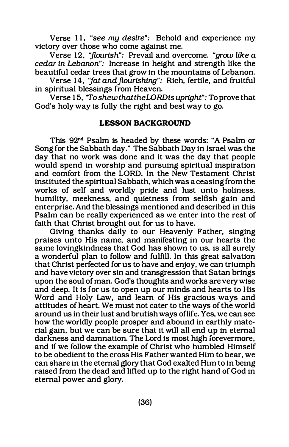Verse 11, "see my desire": Behold and experience my victory over those who come against me.

Verse 12, "flourish": Prevail and overcome. "grow like a cedar in Lebanon": Increase in height and strength like the beautiful cedar trees that grow in the mountains of Lebanon.

Verse 14, "fat and flourishing": Rich, fertile, and fruitful in spiritual blessings from Heaven.

Verse 15, "To shew that the LORD is upright": To prove that God's holy way is fully the right and best way to go.

#### LESSON BACKGROUND

This 92"d Psalm is headed by these words: "A Psalm or Song for the Sabbath day." The Sabbath Day in Israel was the day that no work was done and it was the day that people would spend in worship and pursuing spiritual inspiration and comfort from the LORD. In the New Testament Christ instituted the spiritual Sabbath, which was a ceasing from the works of self and worldly pride and lust unto holiness, humility, meekness, and quietness from selfish gain and enterprise. And the blessings mentioned and described in this Psalm can be really experienced as we enter into the rest of faith that Christ brought out for us to have.

Giving thanks daily to our Heavenly Father, singing praises unto His name, and manifesting in our hearts the same lovingkindness that God has shown to us, is all surely a wonderful plan to follow and fulfill. In this great salvation that Christ perfected for us to have and enjoy, we can triumph and have victory over sin and transgression that Satan brings upon the soul of man. God's thoughts and works are very wise and deep. It is for us to open up our minds and hearts to His Word and Holy Law, and learn of His gracious ways and attitudes of heart. We must not cater to the ways of the world around us in their lust and brutish ways oflife. Yes, we can see how the worldly people prosper and abound in earthly material gain, but we can be sure that it will all end up in eternal darkness and damnation. The Lord is most high forevermore, and if we follow the example of Christ who humbled Himself to be obedient to the cross His Father wanted Him to bear, we can share in the eternal glory that God exalted Him to in being raised from the dead and lifted up to the right hand of God in eternal power and glory.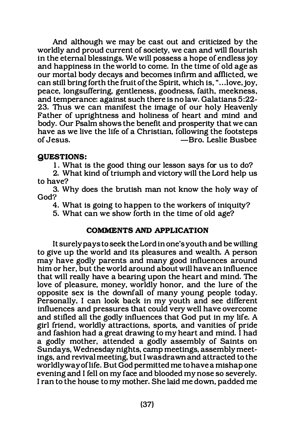And although we may be cast out and criticized by the worldly and proud current of society, we can and will flourish in the eternal blessings. We will possess a hope of endless joy and happiness in the world to come. In the time of old age as our mortal body decays and becomes infirm and afflicted, we can still bring forth the fruit of the Spirit, which is, " .. .love. joy, peace, longsuffering, gentleness, goodness, faith, meekness, and temperance: against such there is no law. Galatians 5:22- 23. Thus we can manifest the image of our holy Heavenly Father of uprightness and holiness of heart and mind and body. Our Psalm shows the benefit and prosperity that we can have as we live the life of a Christian, following the footsteps of Jesus. -Bro. Leslie Busbee

# QUESTIONS:

1. What is the good thing our lesson says for us to do?

2. What kind of triumph and victory will the Lord help us to have?

3. Why does the brutish man not know the holy way of God?

4. What is going to happen to the workers of iniquity?

5. What can we show forth in the time of old age?

# COMMENTS AND APPLICATION

It surely pays to seek the Lord in one's youth and be willing to give up the world and its pleasures and wealth. A person may have godly parents and many good influences around him or her, but the world around about will have an influence that will really have a bearing upon the heart and mind. The love of pleasure, money, worldly honor, and the lure of the opposite sex is the downfall of many young people today. Personally. I can look back in my youth and see different influences and pressures that could very well have overcome and stifled all the godly influences that God put in my life. A girl friend, worldly attractions, sports, and vanities of pride and fashion had a great drawing to my heart and mind. I had a godly mother, attended a godly assembly of Saints on Sundays, Wednesday nights, camp meetings, assembly meetings, and revival meeting, but I was drawn and attracted to the worldly way of life. But God permitted me to have a mishap one evening and I fell on my face and blooded my nose so severely. I ran to the house to my mother. She laid me down, padded me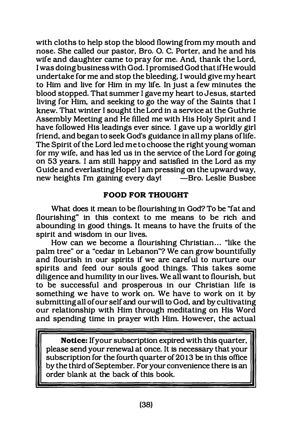with cloths to help stop the blood flowing from my mouth and nose. She called our pastor, Bro. 0. C. Porter, and he and his wife and daughter came to pray for me. And, thank the Lord, I was doing business with God. I promised God that if He would undertake for me and stop the bleeding, I would give my heart to Him and live for Him in my life. In just a few minutes the blood stopped. That summer I gave my heart to Jesus, started living for Him, and seeking to go the way of the Saints that I knew. That winter I sought the Lord in a service at the Guthrie Assembly Meeting and He filled me with His Holy Spirit and I have followed His leadings ever since. I gave up a worldly girl friend, and began to seek God's guidance in all my plans oflife. The Spirit of the Lord led me to choose the right young woman for my wife, and has led us in the service of the Lord for going on 53 years. I am still happy and satisfied in the Lord as my Guide and everlasting Hopei I am pressing on the upward way, new heights I'm gaining every day! - Bro. Leslie Busbee

# FOOD FOR THOUGHT

What does it mean to be flourishing in God? To be "fat and flourishing" in this context to me means to be rich and abounding in good things. It means to have the fruits of the spirit and wisdom in our lives.

How can we become a flourishing Christian... "like the palm tree" or a "cedar in Lebanon"? We can grow bountifully and flourish in our spirits if we are careful to nurture our spirits and feed our souls good things. This takes some diligence and humility in our lives. We all want to flourish, but to be successful and prosperous in our Christian life is something we have to work on. We have to work on it by submitting all of our self and our will to God, and by cultivating our relationship with Him through meditating on His Word and spending time in prayer with Him. However, the actual

Notice: Ifyour subscription expired with this quarter, please send your renewal at once. It is necessary that your subscription for the fourth quarter of 2013 be in this office by the third of September. For your convenience there is an order blank at the back of this book.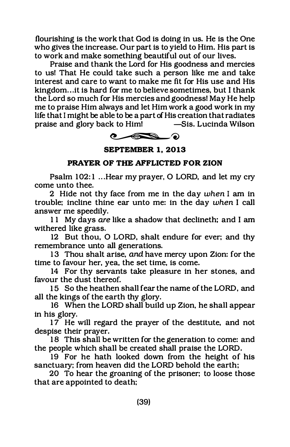flourishing is the work that God is doing in us. He is the One who gives the increase. Our part is to yield to Him. His part is to work and make something beautiful out of our lives.

Praise and thank the Lord for His goodness and mercies to us! That He could take such a person like me and take interest and care to want to make me fit for His use and His kingdom ... it is hard for me to believe sometimes, but I thank the Lord so much for His mercies and goodness! May He help me to praise Him always and let Him work a good work in my life that I might be able to be a part of His creation that radiates praise and glory back <del>-Sis.</del> Lucinda Wilson



SEPTEMBER 1. 2013

# PRAYER OF THE AFFLICTED FOR ZION

Psalm 102:1 ...Hear my prayer, O LORD, and let my cry come unto thee.

2 Hide not thy face from me in the day when I am in trouble: incline thine ear unto me: in the day when I call answer me speedily.

11 My days are like a shadow that declineth; and I am withered like grass.

12 But thou, 0 LORD, shalt endure for ever: and thy remembrance unto all generations.

13 Thou shalt arise, and have mercy upon Zion: for the time to favour her, yea, the set time, is come.

14 For thy servants take pleasure in her stones, and favour the dust thereof.

15 So the heathen shall fear the name of the LORD, and all the kings of the earth thy glory.

16 When the LORD shall build up Zion, he shall appear in his glory.

17 He will regard the prayer of the destitute, and not despise their prayer.

18 This shall be written for the generation to come: and the people which shall be created shall praise the LORD.

19 For he hath looked down from the height of his sanctuary; from heaven did the LORD behold the earth:

20 To hear the groaning of the prisoner; to loose those that are appointed to death: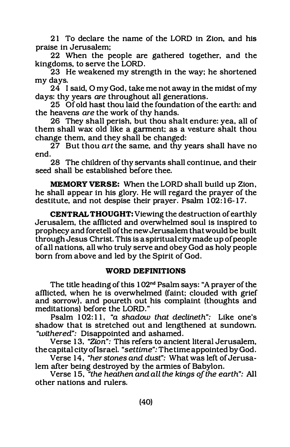21 To declare the name of the LORD in Zion, and his praise in Jerusalem;

22 When the people are gathered together, and the kingdoms, to serve the LORD.

23 He weakened my strength in the way; he shortened my days.

24 I said, 0 my God, take me not away in the midst of my days: thy years are throughout all generations.

25 Of old hast thou laid the foundation of the earth: and the heavens are the work of thy hands.

26 They shall perish, but thou shalt endure: yea, all of them shall wax old like a garment; as a vesture shalt thou change them, and they shall be changed:

27 But thou art the same, and thy years shall have no end.

28 The children of thy servants shall continue, and their seed shall be established before thee.

MEMORY VERSE: When the LORD shall build up Zion, he shall appear in his glory. He will regard the prayer of the destitute, and not despise their prayer. Psalm 102:16-17.

CENTRAL THOUGHT: Viewing the destruction of earthly Jerusalem, the afflicted and ovetwhelmed soul is inspired to prophecy and foretell of the new Jerusalem that would be built through Jesus Christ. This is a spiritual city made up of people of all nations, all who truly serve and obey God as holy people born from above and led by the Spirit of God.

#### WORD DEFINITIONS

The title heading of this 102<sup>nd</sup> Psalm says: "A prayer of the afflicted, when he is overwhelmed (faint; clouded with grief and sorrow). and poureth out his complaint (thoughts and meditations) before the LORD."

Psalm 102:11, "a shadow that declineth": Like one's shadow that is stretched out and lengthened at sundown. "withered": Disappointed and ashamed.

Verse 13, "Zion": This refers to ancient literal Jerusalem, the capital city oflsrael. "set time": The time appointed by God.

Verse 14, "her stones and dust": What was left of Jerusalem after being destroyed by the armies of Babylon.

Verse 15, "the heathen and all the kings of the earth": All other nations and rulers.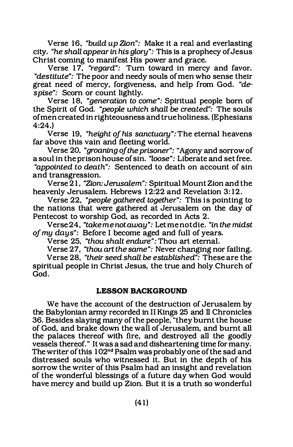Verse 16, "build up Zion": Make it a real and everlasting city. "he shall appear in his glory": This is a prophecy of Jesus Christ coming to manifest His power and grace.

Verse 17, *"regard":* Turn toward in mercy and favor. "destitute": The poor and needy souls of men who sense their great need of mercy, forgiveness, and help from God. "despise": Scorn or count lightly.

Verse 18, "generation to come": Spiritual people born of the Spirit of God. "people which shall be created": The souls of men created in righteousness and true holiness. (Ephesians 4:24.)

Verse 19, "height of his sanctuary": The eternal heavens far above this vain and fleeting world.

Verse 20, "groaning of the prisoner": "Agony and sorrow of a soul in the prison house of sin. "loose": Liberate and set free. "appointed to death": Sentenced to death on account of sin and transgression.

Verse 21, "Zion:Jerusalem": Spiritual Mount Zionand the heavenly Jerusalem. Hebrews 12:22 and Revelation 3:12.

Verse 22, "people gathered together": This is pointing to the nations that were gathered at Jerusalem on the day of Pentecost to worship God, as recorded in Acts 2.

Verse 24, "take me not away": Let me not die. "in the midst of my days": Before I become aged and full of years.

Verse 25, "thou shalt endure": Thou art eternal.

Verse 27, "thou art the same": Never changing nor failing.

Verse 28, "their seed shall be established": These are the spiritual people in Christ Jesus, the true and holy Church of God.

#### LESSON BACKGROUND

We have the account of the destruction of Jerusalem by the Babylonian army recorded in II Kings 25 and II Chronicles 36. Besides slaying many of the people, "they burnt the house of God, and brake down the wall of Jerusalem, and burnt all the palaces thereof with fire, and destroyed all the goodly vessels thereof." It was a sad and disheartening time for many. The writer of this 102<sup>nd</sup> Psalm was probably one of the sad and distressed souls who witnessed it. But in the depth of his sorrow the writer of this Psalm had an insight and revelation of the wonderful blessings of a future day when God would have mercy and build up Zion. But it is a truth so wonderful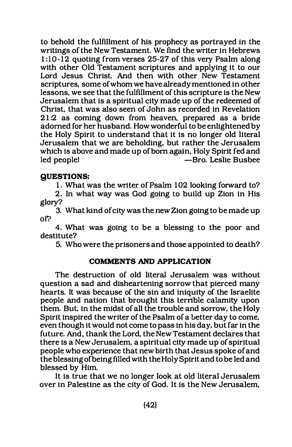to behold the fulfillment of his prophecy as portrayed in the writings of the New Testament. We find the writer in Hebrews 1 :10-12 quoting from verses 25-27 of this very Psalm along with other Old Testament scriptures and applying it to our Lord Jesus Christ. And then with other New Testament scriptures, some of whom we have already mentioned in other lessons, we see that the fulfillment of this scripture is the New Jerusalem that is a spiritual city made up of the redeemed of Christ, that was also seen of John as recorded in Revelation 21 :2 as coming down from heaven, prepared as a bride adorned for her husband. How wonderful to be enlightened by the Holy Spirit to understand that it is no longer old literal Jerusalem that we are beholding, but rather the Jerusalem which is above and made up of born again, Holy Spirit fed and<br>led people! —Bro. Leslie Busbee -Bro. Leslie Busbee

# QUESTIONS:

1. What was the writer of Psalm 102 looking forward to?

2. In what way was God going to build up Zion in His glory?

3. What kind of city was the new Zion going to be made up of'?

4. What was going to be a blessing to the poor and destitute?

5. Who were the prisoners and those appointed to death?

# COMMENTS AND APPLICATION

The destruction of old literal Jerusalem was without question a sad and disheartening sorrow that pierced many hearts. It was because of the sin and iniquity of the Israelite people and nation that brought this terrible calamity upon them. But. in the midst of all the trouble and sorrow, the Holy Spirit inspired the writer of the Psalm of a better day to come, even though it would not come to pass in his day. but far in the future. And, thank the Lord, the New Testament declares that there is a New Jerusalem, a spiritual city made up of spiritual people who experience that new birth that Jesus spoke of and the blessing ofbeing filled with the Holy Spirit and to be led and blessed by Him.

It is true that we no longer look at old literal Jerusalem over in Palestine as the city of God. It is the New Jerusalem,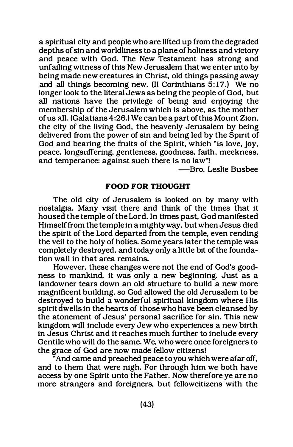a spiritual city and people who are lifted up from the degraded depths of sin and worldliness to a plane of holiness and victory and peace with God. The New Testament has strong and unfailing witness of this New Jerusalem that we enter into by being made new creatures in Christ, old things passing away and all things becoming new. (II Corinthians  $5:17$ .) We no longer look to the literal Jews as being the people of God, but all nations have the privilege of being and enjoying the membership of the Jerusalem which is above, as the mother of us all. (Galatians 4:26.) We can be a part of this Mount Zion, the city of the living God, the heavenly Jerusalem by being delivered from the power of sin and being led by the Spirit of God and bearing the fruits of the Spirit, which "is love, joy, peace, longsuffering, gentleness, goodness, faith, meekness, and temperance: against such there is no law"!

-Bro. Leslie Busbee

# FOOD FOR THOUGHT

The old city of Jerusalem is looked on by many with nostalgia. Many visit there and think of the times that it housed the temple of the Lord. In times past, God manifested Himself from the temple in a mighty way, but when Jesus died the spirit of the Lord departed from the temple, even rending the veil to the holy of holies. Some years later the temple was completely destroyed, and today only a little bit of the foundation wall in that area remains.

However, these changes were not the end of God's goodness to mankind, it was only a new beginning. Just as a landowner tears down an old structure to build a new more magnificent building, so God allowed the old Jerusalem to be destroyed to build a wonderful spiritual kingdom where His spirit dwells in the hearts of those who have been cleansed by the atonement of Jesus' personal sacrifice for sin. This new kingdom will include every Jew who experiences a new birth in Jesus Christ and it reaches much further to include every Gentile who will do the same. We, who were once foreigners to the grace of God are now made fellow citizens!

 $\widetilde{a}$  And came and preached peace to you which were afar off, and to them that were nigh. For through him we both have access by one Spirit unto the Father. Now therefore ye are no more strangers and foreigners, but fellowcitizens with the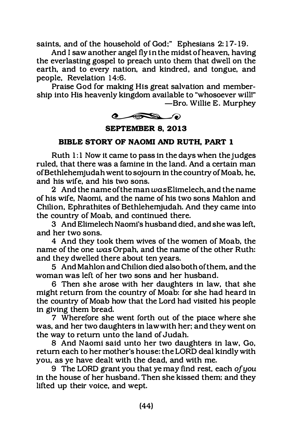saints, and of the household of God;" Ephesians 2:17-19.

And I saw another angel fly in the midst of heaven, having the everlasting gospel to preach unto them that dwell on the earth, and to every nation, and kindred, and tongue, and people. Revelation 14:6.

Praise God for making His great salvation and membership into His heavenly kingdom available to "whosoever will!" -Bro. Willie E. Murphey



SEPTEMBER 8, 2013

# BIBLE STORY OF NAOMI AND RUTH, PART 1

Ruth 1:1 Now it came to pass in the days when the judges ruled, that there was a famine in the land. And a certain man ofBethlehemjudah went to sojourn in the country of Moab, he, and his wife, and his two sons.

2 And the name of the man was Elimelech, and the name of his wife, Naomi, and the name of his two sons Mahlon and Chilion, Ephrathites of Bethlehemiudah. And they came into the country of Moab, and continued there.

3 And Elimelech Naomi's husband died, and she was left, and her two sons.

4 And they took them wives of the women of Moab, the name of the one was Orpah, and the name of the other Ruth: and they dwelled there about ten years.

5 And Mahlon and Chilion died also both of them, and the woman was left of her two sons and her husband.

6 Then she arose with her daughters in law, that she might return from the country of Moab: for she had heard in the country of Moab how that the Lord had visited his people in giving them bread.

7 Wherefore she went forth out of the place where she was, and her two daughters in law with her; and they went on the way to return unto the land of Judah.

8 And Naomi said unto her two daughters in law, Go, return each to her mother's house: the LORD deal kindly with you, as ye have dealt with the dead, and with me.

9 The LORD grant you that ye may find rest, each of you in the house of her husband. Then she kissed them: and they lifted up their voice, and wept.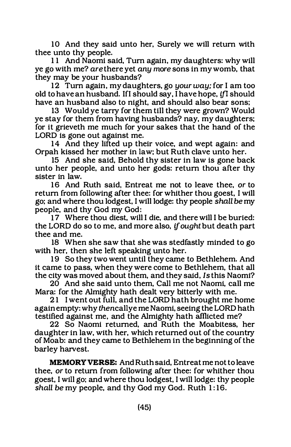10 And they said unto her, Surely we will return with thee unto thy people.

11 And Naomi said, Tum again, my daughters: why will ye go with me? are there yet any more sons in my womb, that they may be your husbands?

12 Tum again, my daughters, go your way; for I am too old to have an husband. If I should say, I have hope, if I should have an husband also to night, and should also bear sons:

13 Would ye tarry for them till they were grown? Would ye stay for them from having husbands? nay, my daughters; for it grieveth me much for your sakes that the hand of the LORD is gone out against me.

14 And they lifted up their voice, and wept again: and Orpah kissed her mother in law; but Ruth clave unto her.

15 And she said, Behold thy sister in law is gone back unto her people, and unto her gods: return thou after thy sister in law.

16 And Ruth said, Entreat me not to leave thee, or to return from following after thee: for whither thou goest, I will go; and where thou lodgest, I will lodge: thy people shall be my people, and thy God my God:

17 Where thou diest, will I die, and there will I be buried: the LORD do so to me, and more also, if ought but death part thee and me.

18 When she saw that she was stedfastly minded to go with her, then she left speaking unto her.

19 So they two went until they came to Bethlehem. And it came to pass, when they were come to Bethlehem, that all the city was moved about them, and they said, Is this Naomi?

20 And she said unto them, Call me not Naomi, call me Mara: for the Almighty hath dealt very bitterly with me.

21 I went out full, and the LORD hath brought me home again empty: why thencallye me Naomi, seeing the LORD hath testified against me, and the Almighty hath afflicted me?

22 So Naomi returned, and Ruth the Moabitess, her daughter in law, with her, which returned out of the country of Moab: and they came to Bethlehem in the beginning of the barley harvest.

MEMORY VERSE: And Ruth said, Entreat me not to leave thee, or to return from following after thee: for whither thou goest, I will go; and where thou lodgest, I will lodge: thy people shall be my people, and thy God my God. Ruth 1:16.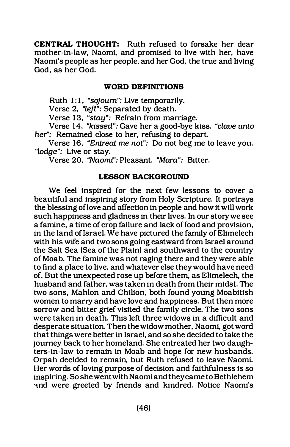CENTRAL THOUGHT: Ruth refused to forsake her dear mother-in-law, Naomi, and promised to live with her. have Naomi's people as her people, and her God, the true and living God, as her God.

#### WORD DEFINITIONS

Ruth 1:1, "sojourn": Live temporarily.

Verse 2. "left": Separated by death.

Verse 13, "stay": Refrain from marriage.

Verse 14, "kissed": Gave her a good-bye kiss. "clave unto her": Remained close to her, refusing to depart.

Verse 16, "Entreat me not": Do not beg me to leave you. "lodge": Live or stay.

Verse 20, "Naomi": Pleasant. "Mara": Bitter.

#### LESSON BACKGROUND

We feel inspired for the next few lessons to cover a beautiful and inspiring story from Holy Scripture. It portrays the blessing oflove and affection in people and how it will work such happiness and gladness in their lives. In our story we see a famine, a time of crop failure and lack of food and provision, in the land of Israel. We have pictured the family of Elimelech with his wife and two sons going eastward from Israel around the Salt Sea (Sea of the Plain) and southward to the country of Moab. The famine was not raging there and they were able to find a place to live, and whatever else they would have need of. But the unexpected rose up before them, as Elimelech, the husband and father, was taken in death from their midst. The two sons, Mahlon and Chilion, both found young Moabitish women to marry and have love and happiness. But then more sorrow and bitter grief visited the family circle. The two sons were taken in death. This left three widows in a difficult and desperate situation. Then the widow mother, Naomi, got word that things were better in Israel, and so she decided to take the journey back to her homeland. She entreated her two daughters-in-law to remain in Moab and hope for new husbands. Orpah decided to remain, but Ruth refused to leave Naomi. Her words of loving purpose of decision and faithfulness is so inspiring. So she went with Naomi and they came to Bethlehem and were greeted by friends and kindred. Notice Naomi's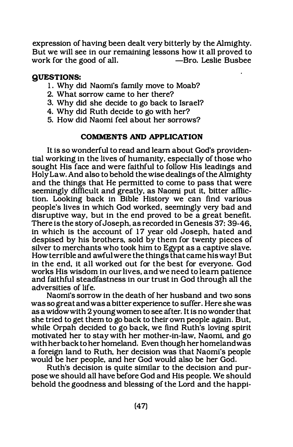expression of having been dealt very bitterly by the Almighty. But we will see in our remaining lessons how it all proved to work for the good of all.  $-$ Bro. Leslie Busbee work for the good of all.

# QUESTIONS:

- 1. Why did Naomi's family move to Moab?
- 2. What sorrow came to her there?
- 3. Why did she decide to go back to Israel?
- 4. Why did Ruth decide to go with her?
- 5. How did Naomi feel about her sorrows?

#### COMMENTS AND APPLICATION

It is so wonderful to read and learn about God's providential working in the lives of humanity, especially of those who sought His face and were faithful to follow His leadings and Holy Law. And also to behold the wise dealings of the Almighty and the things that He permitted to come to pass that were seemingly difficult and greatly, as Naomi put it, bitter affliction. Looking back in Bible History we can find various people's lives in which God worked, seemingly very bad and disruptive way, but in the end proved to be a great benefit. There is the story of Joseph, as recorded in Genesis 37: 39-46, in which is the account of 17 year old Joseph, hated and despised by his brothers, sold by them for twenty pieces of silver to merchants who took him to Egypt as a captive slave. How terrible and awful were the things that came his way! But in the end, it all worked out for the best for everyone. God works His wisdom in our lives, and we need to learn patience and faithful steadfastness in our trust in God through all the adversities of life.

Naomi's sorrow in the death of her husband and two sons was so great and was a bitter experience to suffer. Here she was as a widow with 2 young women to see after. It is no wonder that she tried to get them to go back to their own people again. But, while Orpah decided to go back, we find Ruth's loving spirit motivated her to stay with her mother-in-law, Naomi, and go with her back to her homeland. Even though her homeland was a foreign land to Ruth, her decision was that Naomi's people would be her people, and her God would also be her God.

Ruth's decision is quite similar to the decision and purpose we should all have before God and His people. We should behold the goodness and blessing of the Lord and the happi-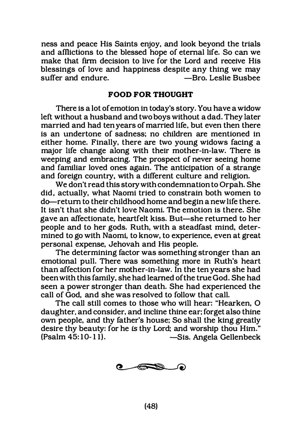ness and peace His Saints enjoy, and look beyond the trials and afflictions to the blessed hope of eternal life. So can we make that firm decision to live for the Lord and receive His blessings of love and happiness despite any thing we may<br>suffer and endure.  $\qquad -$ Bro. Leslie Bushee suffer and endure.

### FOOD FOR THOUGHT

There is a lot of emotion in today's story. You have a widow left without a husband and two boys without a dad. They later married and had ten years of married life. but even then there is an undertone of sadness; no children are mentioned in either home. Finally. there are two young widows facing a major life change along with their mother-in-law. There is weeping and embracing. The prospect of never seeing home and familiar loved ones again. The anticipation of a strange and foreign country, with a different culture and religion.

We don't read this story with condemnation to Orpah. She did, actually, what Naomi tried to constrain both women to do-return to their childhood home and begin a new life there. It isn't that she didn't love Naomi. The emotion is there. She gave an affectionate, heartfelt kiss. But-she returned to her people and to her gods. Ruth, with a steadfast mind, determined to go with Naomi, to know, to experience, even at great personal expense, Jehovah and His people.

The determining factor was something stronger than an emotional pull. There was something more in Ruth's heart than affection for her mother-in-law. In the ten years she had been with this family, she had learned of the true God. She had seen a power stronger than death. She had experienced the call of God, and she was resolved to follow that call.

The call still comes to those who will hear: "Hearken, 0 daughter. and consider. and incline thine ear; forget also thine own people, and thy father's house; So shall the king greatly desire thy beauty: for he is thy Lord; and worship thou Him."<br>(Psalm 45:10-11). — Sis. Angela Gellenbeck -Sis. Angela Gellenbeck

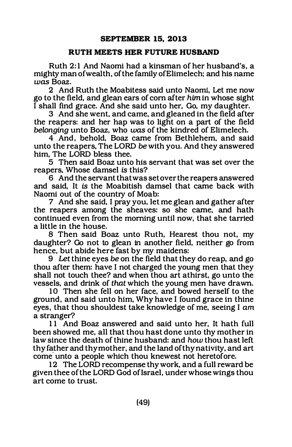#### RUTH MEETS HER FUTURE HUSBAND

Ruth 2: 1 And Naomi had a kinsman of her husband's, a mighty man of wealth, of the family ofElimelech; and his name was Boaz.

2 And Ruth the Moabitess said unto Naomi, Let me now go to the field, and glean ears of com after him in whose sight I shall find grace. And she said unto her, Go, my daughter.

3 And she went, and came, and gleaned in the field after the reapers: and her hap was to light on a part of the field belonging unto Boaz, who was of the kindred of Elimelech.

4 And, behold, Boaz came from Bethlehem, and said unto the reapers, The LORD be with you. And they answered him, The LORD bless thee.

5 Then said Boaz unto his servant that was set over the reapers, Whose damsel is this?

6 And the servant that was set over the reapers answered and said, It is the Moabitish damsel that came back with Naomi out of the country of Moab:

7 And she said, I pray you. let me glean and gather after the reapers among the sheaves: so she came, and hath continued even from the morning until now, that she tarried a little in the house.

8 Then said Boaz unto Ruth, Hearest thou not, my daughter? Go not to glean in another field, neither go from hence, but abide here fast by my maidens:

9 Let thine eyes be on the field that they do reap, and go thou after them: have I not charged the young men that they shall not touch thee? and when thou art athirst, go unto the vessels, and drink of that which the young men have drawn.

10 Then she fell on her face, and bowed herself to the ground, and said unto him, Why have I found grace in thine eyes, that thou shouldest take knowledge of me, seeing I am a stranger?

11 And Boaz answered and said unto her, It hath full been showed me, all that thou hast done unto thy mother in law since the death of thine husband: and how thou hast left thy f�ther and thy mother, and the land of thy nativity, and art come unto a people which thou knewest not heretofore.

12 The LORD recompense thy work, and a full reward be given thee of the LORD God of Israel, under whose wings thou art come to trust.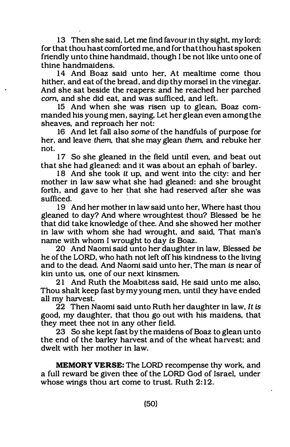13 Then she said, Let me find favour in thy sight, my lord; for that thou hast comforted me, and for that thou hast spoken friendly unto thine handmaid, though I be not like unto one of thine handmaidens.

14 And Boaz said unto her, At mealtime come thou hither, and eat of the bread, and dip thy morsel in the vinegar. And she sat beside the reapers: and he reached her parched com, and she did eat, and was sufficed, and left.

15 And when she was risen up to glean, Boaz commanded his young men, saying, Let her glean even among the sheaves, and reproach her not:

16 And let fall also some of the handfuls of purpose for her, and leave them, that she may glean them, and rebuke her not. not.

17 So she gleaned in the field until even, and beat out that she had gleaned: and it was about an ephah of barley.

18 And she took it up, and went into the city: and her mother in law saw what she had gleaned: and she brought forth, and gave to her that she had reserved after she was sufficed.

19 And her mother in law said unto her, Where hast thou gleaned to day? And where wroughtest thou? Blessed be he that did take knowledge of thee. And she showed her mother in law with whom she had wrought, and said, That man's name With whom I wrought to day is Boaz.

20 And Naomi said unto her daughter in law, Blessed be he of the LORD, who hath not left off his kindness to the living and to the dead. And Naomi said unto her, The man is near of kin unto us, one of our next kinsmen.

21 And Ruth the Moabitess said, He said unto me also, Thou shalt keep fast by my young men, until they have ended all my harvest.

22 Then Naomi said unto Ruth her daughter in law, It is good, my daughter, that thou go out With his maidens, that they meet thee not in any other field.

23 So she kept fast by the maidens of Boaz to glean unto the end of the barley harvest and of the wheat harvest: and dwelt With her mother in law.

MEMORY VERSE: The LORD recompense thy work, and a full reward be given thee of the LORD God of Israel, under whose wings thou art come to trust. Ruth 2:12.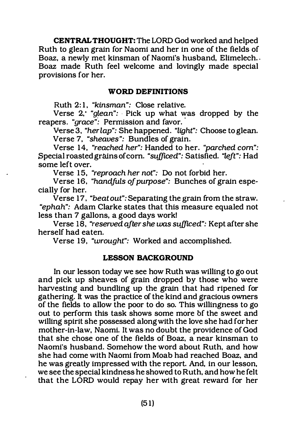CENTRAL THOUGHT: The LORD God worked and helped Ruth to glean grain for Naomi and her in one of the fields of Boaz, a newly met kinsman of Naomi's husband, Elimelech.. Boaz made Ruth feel welcome and lovingly made special provisions for her.

#### WORD DEFINITIONS

Ruth 2: 1, "kinsman": Close relative.

Verse 2, "glean": Pick up what was dropped by the verse "cross": Permission and fouer reapers. "grace": Permission and favor.

Verse 3, "herlap": She happened. "light": Choose to glean. Verse 7, "sheaves": Bundles of grain.

Verse 14, "reached her": Handed to her. "parched com": Special roasted grains of corn. "sufficed": Satisfied. "left": Had some left over.

Verse 15, "reproach her not": Do not forbid her.

Verse 16. "handfuls of purpose": Bunches of grain especially for her.

Verse 17. "beat out": Separating the grain from the straw. "ephah": Adam Clarke states that this measure equaled not less than 7 gallons, a good days work!

Verse 18, "reserved after she was sufficed": Kept after she herself had eaten.

Verse 19, "wrought": Worked and accomplished.

#### LESSON BACKGROUND

In our lesson today we see how Ruth was willing to go out and pick up sheaves of grain dropped by those who were harvesting and bundling up the grain that had ripened for gathering. It was the practice of the kind and gracious owners of the fields to allow the poor to do so. This willingness to go out to perform this task shows some more bf the sweet and willing spirit she possessed along with the love she had for her mother-in-law, Naomi. It was no doubt the providence of God that she chose one of the fields of Boaz, a near kinsman to Naomi's husband. Somehow the word about Ruth, and how she had come with Naomi from Moab had reached Boaz, and he was greatly impressed with the report. And, in our lesson, we see the special kindness he showed to Ruth, and how he felt that the LORD would repay her with great reward for her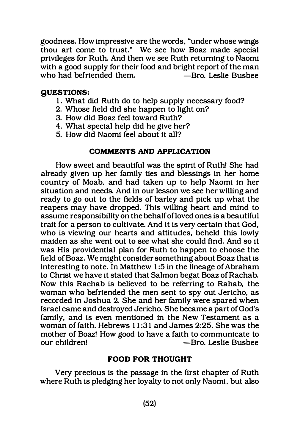goodness. How impressive are the words, "under whose wings thou art come to trust." We see how Boaz made special privileges for Ruth. And then we see Ruth returning to Naomi with a good supply for their food and bright report of the man who had befriended them.

# QUESTIONS:

- 1. What did Ruth do to help supply necessary food?
- 2. Whose field did she happen to light on?
- 3. How did Boaz feel toward Ruth?
- 4. What special help did he give her?
- 5. How did Naomi feel about it all?

# COMMENTS AND APPLICATION

How sweet and beautiful was the spirit of Ruth! She had already given up her family ties and blessings in her home country of Moab, and had taken up to help Naomi in her situation and needs. And in our lesson we see her willing and ready to go out to the fields of barley and pick up what the reapers may have dropped. This willing heart and mind to assume responsibility on the behalf ofloved ones is a beautiful trait for a person to cultivate. And it is very certain that God, who is viewing our hearts and attitudes, beheld this lowly maiden as she went out to see what she could find. And so it was His providential plan for Ruth to happen to choose the field of Boaz. We might consider something about Boaz that is interesting to note. In Matthew 1 :5 in the lineage of Abraham to Christ we have it stated that Salmon begat Boaz of Rachab. Now this Rachab is believed to be referring to Rahab, the woman who befriended the men sent to spy out Jericho, as recorded in Joshua 2. She and her family were spared when Israel carne and destroyed Jericho. She became a part of God's family, and is even mentioned in the New Testament as a woman of faith. Hebrews 1 1:31 and James 2:25. She was the mother of Boazl How good to have a faith to communicate to our children! - -Bro. Leslie Busbee

#### FOOD FOR THOUGHT

Very precious is the passage in the first chapter of Ruth where Ruth is pledging her loyalty to not only Naomi, but also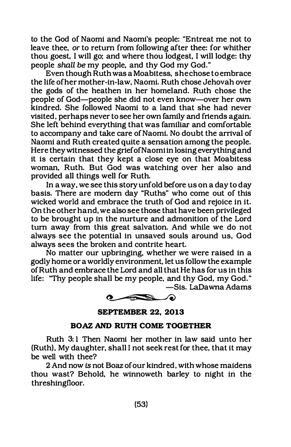to the God of Naomi and Naomi's people: "Entreat me not to leave thee, or to return from following after thee: for whither thou goest, I will go: and where thou lodgest, I will lodge: thy people shall be my people, and thy God my God."

Even though Ruth was a Moabitess, she chose to embrace the life ofher mother-in-law, Naomi. Ruth chose Jehovah over the gods of the heathen in her homeland. Ruth chose the people of God-people she did not even know-over her own kindred. She followed Naomi to a land that she had never visited, perhaps never to see her own family and friends again. She left behind everything that was familiar and comfortable to accompany and take care of Naomi. No doubt the arrival of Naomi and Ruth created quite a sensation among the people. Here they witnessed the grief of Naomi in losing everything and it is certain that they kept a close eye on that Moabitess woman, Ruth. But God was watching over her also and provided all things well for Ruth.

In a way, we see this story unfold before us on a day to day basis. There are modem day "Ruths" who come out of this wicked world and embrace the truth of God and rejoice in it. On the other hand, we also see those that have been privileged to be brought up in the nurture and admonition of the Lord tum away from this great salvation. And while we do not always see the potential in unsaved souls around us, God always sees the broken and contrite heart.

No matter our upbringing, whether we were raised in a godly home or a worldly environment, let us follow the example of Ruth and embrace the Lord and all that He has for us in this life: "Thy people shall be my people, and thy God, my God."

-Sis. LaDawna Adams



SEPTEMBER 22, 2013

#### BOAZ AND RUTH COME TOGETHER

Ruth 3: 1 Then Naomi her mother in law said unto her (Ruth), My daughter, shall I not seek rest for thee, that it may be well with thee?

2 And now is not Boaz of our kindred, with whose maidens thou wast? Behold, he winnoweth barley to night in the threshingfloor.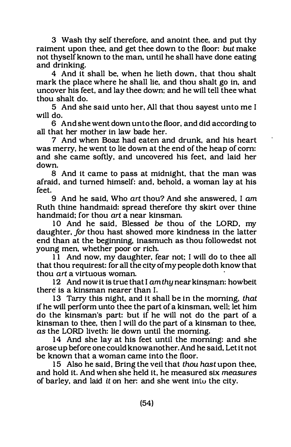3 Wash thy self therefore, and anoint thee, and put thy raiment upon thee, and get thee down to the floor: but make not thyself known to the man, until he shall have done eating and drinking.

4 And it shall be, when he lieth down, that thou shalt mark the place where he shall lie, and thou shalt go in, and uncover his feet, and lay thee down; and he will tell thee what thou shalt do.

5 And she said unto her, All that thou sayest unto me I will do.

6 And she went down unto the floor, and did according to all that her mother in law bade her.

7 And when Boaz had eaten and drunk, and his heart was merry, he went to lie down at the end of the heap of corn: and she came softly, and uncovered his feet, and laid her down.

8 And it came to pass at midnight, that the man was afraid, and turned himself: and, behold, a woman lay at his feet.

9 And he said, Who art thou? And she answered, I am Ruth thine handmaid: spread therefore thy skirt over thine handmaid; for thou art a near kinsman.

10 And he said, Blessed be thou of the LORD, my daughter, for thou hast showed more kindness in the latter end than at the beginning, inasmuch as thou followedst not young men, whether poor or rich.

11 And now, my daughter, fear not: I will do to thee all that thou requirest: for all the city of my people doth know that thou art a virtuous woman.

12 And now it is true that I am thy near kinsman: howbeit there is a kinsman nearer than I.

13 Tarry this night, and it shall be in the morning, that if he will perform unto thee the part of a kinsman, well: let him do the kinsman's part: but if he will not do the part of a kinsman to thee, then I will do the part of a kinsman to thee, as the LORD liveth: lie down until the morning.

14 And she lay at his feet until the morning: and she arose up before one could know another. And he said, Let it not be known that a woman came into the floor.

15 Also he said, Bring the veil that thou hast upon thee, and hold it. And when she held it, he measured six measures of barley, and laid it on her: and she went intu the city.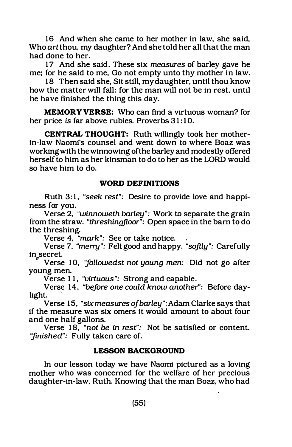16 And when she came to her mother in law, she said, Who art thou, my daughter? And she told her all that the man had done to her.

17 And she said, These six measures of barley gave he me; for he said to me, Go not empty unto thy mother in law.

18 Then said she, Sit still, my daughter, until thou know how the matter will fall: for the man will not be in rest, until he have finished the thing this day.

MEMORY VERSE: Who can find a virtuous woman? for her price is far above rubies. Proverbs 31:10.

CENTRAL THOUGHT: Ruth willingly took her motherin-law Naomi's counsel and went down to where Boaz was working with the winnowing ofthe barley and modestly offered herself to him as her kinsman to do to her as the LORD would so have him to do.

# WORD DEFINITIONS

Ruth 3: 1, "seek rest": Desire to provide love and happiness for you.

Verse 2. "winnoweth barley": Work to separate the grain from the straw. "threshingjloor": Open space in the bam to do the threshing.

Verse 4, "mark": See or take notice.

Verse 7, "merry": Felt good and happy. "softly": Carefully in secret.

Verse 10, "followedst not young men: Did not go after young men.

Verse 11, "virtuous": Strong and capable.

Verse 14, "before one could know another": Before daylight.

Verse 15, "six measures ofbarley": Adam Clarke says that if the measure was six omers it would amount to about four and one half gallons.

Verse 18, "not be in rest": Not be satisfied or content. "finished": Fully taken care of.

# LESSON BACKGROUND

In our lesson today we have Naomi pictured as a loving mother who was concerned for the welfare of her precious daughter-in-law, Ruth. Knowing that the man Boaz, who had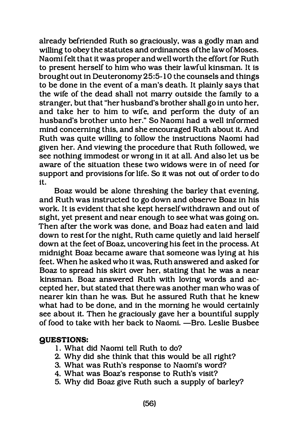already befriended Ruth so graciously, was a godly man and willing to obey the statutes and ordinances of the law of Moses. Naomi felt that it was proper and well worth the effort for Ruth to present herself to him who was their lawful kinsman. It is brought out in Deuteronomy 25:5-10 the counsels and things to be done in the event of a man's death. It plainly says that the wife of the dead shall not marry outside the family to a stranger, but that "her husband's brother shall go in unto her, and take her to him to wife, and perform the duty of an husband's brother unto her." So Naomi had a well informed mind concerning this, and she encouraged Ruth about it. And Ruth was quite willing to follow the instructions Naomi had given her. And viewing the procedure that Ruth followed, we see nothing immodest or wrong in it at all. And also let us be aware of the situation these two widows were in of need for support and provisions for life. So it was not out of order to do it.

Boaz would be alone threshing the barley that evening, and Ruth was instructed to go down and observe Boaz in his work. It is evident that she kept herself withdrawn and out of sight, yet present and near enough to see what was going on. Then after the work was done, and Boaz had eaten and laid down to rest for the night, Ruth came quietly and laid herself down at the feet of Boaz, uncovering his feet in the process. At midnight Boaz became aware that someone was lying at his feet. When he asked who it was, Ruth answered and asked for Boaz to spread his skirt over her, stating that he was a near kinsman. Boaz answered Ruth with loving words and accepted her, but stated that there was another man who was of nearer kin than he was. But he assured Ruth that he knew what had to be done, and in the morning he would certainly see about it. Then he graciously gave her a bountiful supply of food to take with her back to Naomi. - Bro. Leslie Busbee

#### QUESTIONS:

- 1. What did Naomi tell Ruth to do?
- 2. Why did she think that this would be all right?
- 3. What was Ruth's response to Naomi's word?
- 4. What was Boaz's response to Ruth's visit?
- 5. Why did Boaz give Ruth such a supply of barley?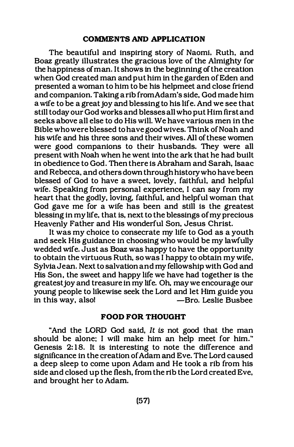#### COMMENTS AND APPLICATION

The beautiful and inspiring story of Naomi. Ruth. and Boaz greatly illustrates the gracious love of the Almighty for the happiness of man. It shows in the beginning of the creation when God created man and put him in the garden of Eden and presented a woman to him to be his helpmeet and close friend and companion. Taking a rib from Adam's side, God made him a wife to be a great joy and blessing to his life. And we see that still today our God works and blesses all who put Him first and seeks above all else to do His will. We have various men in the Bible who were blessed to have good wives. Think of Noah and his wife and his three sons and their wives. All of these women were good companions to their husbands. They were all present with Noah when he went into the ark that he had built in obedience to God. Then there is Abraham and Sarah, Isaac and Rebecca. and others down through history who have been blessed of God to have a sweet, lovely, faithful, and helpful wife. Speaking from personal experience. I can say from my heart that the godly. loving. faithful. and helpful woman that God gave me for a wife has been and still is the greatest blessing in my life. that is. next to the blessings of my precious Heavenly Father and His wonderful Son, Jesus Christ.

It was my choice to consecrate my life to God as a youth and seek His guidance in choosing who would be my lawfully wedded wife. Just as Boaz was happy to have the opportunity to obtain the virtuous Ruth. so was I happy to obtain my wife. Sylvia Jean. Next to salvation and my fellowship with God and His Son. the sweet and happy life we have had together is the greatest joy and treasure in my life. Oh, may we encourage our young people to likewise seek the Lord and let Him guide you in this way. also! -Bro. Leslie Busbee

#### FOOD FOR THOUGHT

"And the LORD God said, It is not good that the man should be alone; I will make him an help meet for him." . Genesis 2:18. It is interesting to note the difference and significance in the creation of Adam and Eve. The Lord caused a deep sleep to come upon Adam and He took a rib from his side and closed up the flesh. from the rib the Lord created Eve. and brought her to Adam.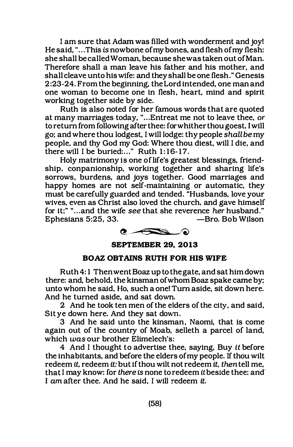I am sure that Adam was filled with wonderment and joy! He said, "... This is nowbone of my bones, and flesh of my flesh: she shall be called Woman, because she was taken out of Man. Therefore shall a man leave his father and his mother, and shall cleave unto his wife: and they shall be one flesh." Genesis 2 :23-24. From the beginning, the Lord intended, one man and one woman to become one in flesh, heart, mind and spirit working together side by side.

Ruth is also noted for her famous words that are quoted at many marriages today, " ... Entreat me not to leave thee, or to return from following after thee: for whither thou goest. I will go: and where thou lodgest, I will lodge: thy people shall be my people, and thy God my God: Where thou diest, will I die, and there will I be buried:..." Ruth 1:16-17.

Holy matrimony is one of life's greatest blessings, friendship. conpanionship, working together and sharing life's sorrows, burdens, and joys together. Good marriages and happy homes are not self-maintaining or automatic, they must be carefully guarded and tended. "Husbands, love your wives, even as Christ also loved the church. and gave himself for it:" "... and the wife see that she reverence her husband." Ephesians 5:25, 33. -Bro. Bob Wilson



#### SEPTEMBER 29, 2013

#### BOAZ OBTAINS RUTH FOR HIS WIFE

Ruth 4: 1 Then went Boaz up to the gate, and sat him down there: and, behold, the kinsman of whom Boaz spake came by; unto whom he said, Ho, such a one! Turn aside, sit down here. And he turned aside, and sat down.

2 And he took ten men of the elders of the city, and said, Sit ye down here. And they sat down.

3 And he said unto the kinsman, Naomi, that is come again out of the country of Moab, selleth a parcel of land, which was our brother Elimelech's:

4 And I thought to advertise thee, saying, Buy it before the inhabitants, and before the elders of my people. If thou wilt redeem it, redeem it: but if thou wilt not redeem it, then tell me, that I may know: for there is none to redeem it beside thee: and I am after thee. And he said, I will redeem it.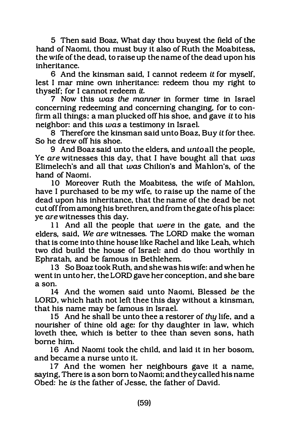5 Then said Boaz, What day thou buyest the field of the hand of Naomi, thou must buy it also of Ruth the Moabitess, the wife of the dead, to raise up the name of the dead upon his inheritance.

6 And the kinsman said, I cannot redeem it for myself, lest I mar mine own inheritance: redeem thou my right to thyself: for I cannot redeem it.

7 Now this was the manner in former time in Israel concerning redeeming and concerning changing, for to confirm all things: a man plucked off his shoe, and gave it to his neighbor: and this was a testimony in Israel.

8 Therefore the kinsman said unto Boaz, Buy it for thee. So he drew off his shoe.

9 And Boaz said unto the elders, and unto all the people, Ye are witnesses this day, that I have bought all that was Elimelech's and all that  $was$  Chilion's and Mahlon's, of the hand of Naomi.

10 Moreover Ruth the Moabitess, the wife of Mahlon, have I purchased to be my wife, to raise up the name of the dead upon his inheritance, that the name of the dead be not cut off from among his brethren, and from the gate of his place: ye are witnesses this day.

11 And all the people that were in the gate, and the elders, said, We are witnesses. The LORD make the woman that is come into thine house like Rachel and like Leah, which two did build the house of Israel: and do thou worthily in Ephratah, and be famous in Bethlehem.

13 So Boaz took Ruth, and she was his wife: and when he went in unto her, the LORD gave her conception, and she bare a son.

14 And the women said unto Naomi, Blessed be the LORD, which hath not left thee this day without a kinsman, that his name may be famous in Israel.

15 And he shall be unto thee a restorer of thy life, and a nourisher of thine old age: for thy daughter in law, which loveth thee, which is better to thee than seven sons, hath borne him.

16 And Naomi took the child, and laid it in her bosom, and became a nurse unto it.

17 And the women her neighbours gave it a name, saying, There is a son born to Naomi: and they called his name Obed: he is the father of Jesse, the father of David.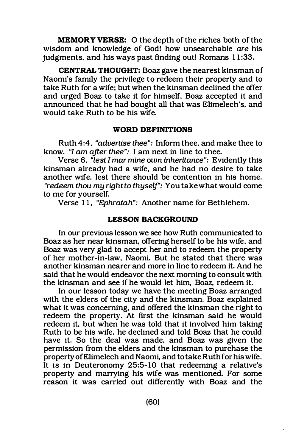MEMORY VERSE: 0 the depth of the riches both of the wisdom and knowledge of God! how unsearchable are his judgments, and his ways past finding outl Romans  $11:33$ .

CENTRAL THOUGHT: Boaz gave the nearest kinsman of Naomi's family the privilege to redeem their property and to take Ruth for a wife: but when the kinsman declined the offer and urged Boaz to take it for himself, Boaz accepted it and announced that he had bought all that was Elimelech's, and would take Ruth to be his wife.

#### WORD DEFINITIONS

Ruth 4:4, "advertise thee": Inform thee, and make thee to know. "I am after thee": I am next in line to thee.

Verse 6, "lest I mar mine own inheritance": Evidently this kinsman already had a wife, and he had no desire to take another wife, lest there should be contention in his home. "redeem thou my right to thyself': You take what would come to me for yourself.

Verse 11, "Ephratah": Another name for Bethlehem.

# LESSON BACKGROUND

In our previous lesson we see how Ruth communicated to Boaz as her near kinsman, offering herself to be his wife, and Boaz was very glad to accept her and to redeem the property of her mother-in-law, Naomi. But he stated that there was another kinsman nearer and more in line to redeem it. And he said that he would endeavor the next morning to consult with the kinsman and see if he would let him, Boaz, redeem it.

In our lesson today we have the meeting Boaz arranged with the elders of the city and the kinsman. Boaz explained what it was concerning, and offered the kinsman the right to redeem the property. At first the kinsman said he would redeem it, but when he was told that it involved him taking Ruth to be his wife, he declined and told Boaz that he could have it. So the deal was made, and Boaz was given the permission from the elders and the kinsman to purchase the property of Elimelech and Naomi, and to take Ruth for his wife. It is in Deuteronomy 25:5- 10 that redeeming a relative's property and marrying his wife was mentioned. For some reason it was carried out differently with Boaz and the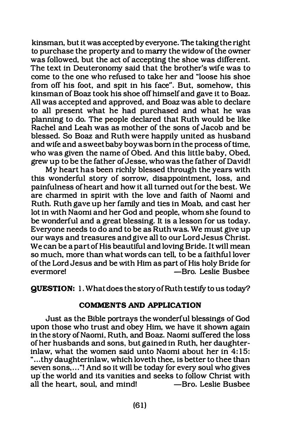kinsman, but it was accepted by everyone. The taking the right to purchase the property and to marry the widow of the owner was followed, but the act of accepting the shoe was different. The text in Deuteronomy said that the brother's wife was to come to the one who refused to take her and "loose his shoe from off his foot, and spit in his face". But, somehow, this kinsman of Boaz took his shoe off himself and gave it to Boaz. All was accepted and approved, and Boaz was able to declare to all present what he had purchased and what he was planning to do. The people declared that Ruth would be like Rachel and Leah was as mother of the sons of Jacob and be blessed. So Boaz and Ruth were happily united as husband and wife and a sweet baby boy was born in the process of time, who was given the name of Obed. And this little baby, Obed, grew up to be the father of Jesse, who was the father of David!

My heart has been richly blessed through the years with this wonderful story of sorrow, disappointment, loss, and painfulness of heart and how it all turned out for the best. We are charmed in spirit With the love and faith of Naomi and Ruth. Ruth gave up her family and ties in Moab, and cast her lot in With Naomi and her God and people, whom she found to be wonderful and a great blessing. It is a lesson for us today. Everyone needs to do and to be as Ruth was. We must give up our ways and treasures and give all to our Lord Jesus Christ. We can be a part of His beautiful and loving Bride. It will mean so much, more than what words can tell, to be a faithful lover of the Lord Jesus and be With Him as part of His holy Bride for -Bro. Leslie Busbee

QUESTION: 1. What does the storyofRuth testify to us today?

#### COMMENTS AND APPLICATION

Just as the Bible portrays the wonderful blessings of God upon those who trust and obey Him, we have it shown again in the story of Naomi, Ruth, and Boaz. Naomi suffered the loss of her husbands and sons, but gained in Ruth, her daughterinlaw, what the women said unto Naomi about her in  $4:15$ : "...thy daughterinlaw, which loveth thee, is better to thee than seven sons,..."! And so it will be today for every soul who gives up· the world and its vanities and seeks to follow Christ with all the heart, soul, and mind!  $-Bro.$  Leslie Busbee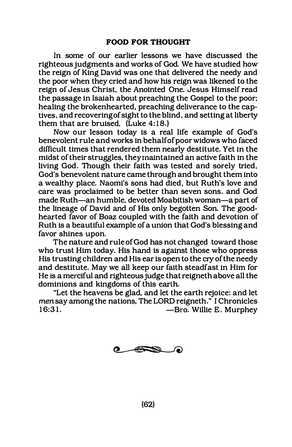In some of our earlier lessons we have discussed the righteous judgments and works of God. We have studied how the reign of King David was one that delivered the needy and the poor when they cried and how his reign was likened to the reign of Jesus Christ, the Anointed One. Jesus Himself read the passage in Isaiah about preaching the Gospel to the poor; healing the brokenhearted, preaching deliverance to the captives, and recovering of sight to the blind, and setting at liberty them that are bruised, (Luke 4:18.)

Now our lesson today is a real life example of God's benevolent rule and works in behalf of poor widows who faced difficult times that rendered them nearly destitute. Yet in the midst of their struggles, they maintained an active faith in the living God. Though their faith was tested and sorely tried, God's benevolent nature came through and brought them into a wealthy place. Naomi's sons had died, but Ruth's love and care was proclaimed to be better than seven sons. and God made Ruth-an humble, devoted Moabitish woman-a part of the lineage of David and of His only begotten Son. The goodhearted favor of Boaz coupled with the faith and devotion of Ruth is a beautiful example of a union that God's blessing and favor shines upon.

The nature and rule of God has not changed toward those who trust Him today. His hand is against those who oppress His trusting children and His ear is open to the cry of the needy and destitute. May we all keep our faith steadfast in Him for He is a merciful and righteous judge that reigneth above all the dominions and kingdoms of this earth.

"Let the heavens be glad, and let the earth rejoice: and let men say among the nations, The LORD reigneth." I Chronicles -Bro. Willie E. Murphev



(62)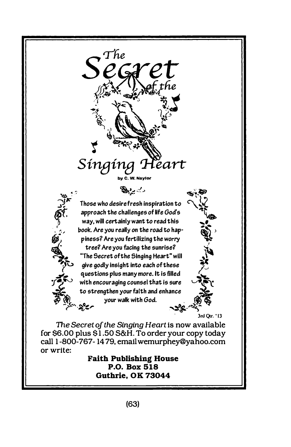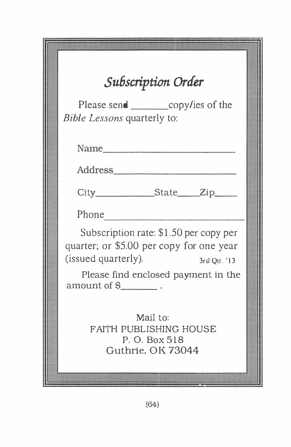|  | Subscription Order                         |              |  |  |
|--|--------------------------------------------|--------------|--|--|
|  |                                            |              |  |  |
|  | Please send _______________copy/ies of the |              |  |  |
|  | <i>Bible Lessons</i> quarterly to:         |              |  |  |
|  |                                            |              |  |  |
|  |                                            |              |  |  |
|  |                                            |              |  |  |
|  | Name                                       |              |  |  |
|  |                                            |              |  |  |
|  | Address                                    |              |  |  |
|  |                                            |              |  |  |
|  | City_____________State_____Zip_____        |              |  |  |
|  |                                            |              |  |  |
|  |                                            |              |  |  |
|  | Phone                                      |              |  |  |
|  | Subscription rate: \$1.50 per copy per     |              |  |  |
|  |                                            |              |  |  |
|  | quarter; or \$5.00 per copy for one year   |              |  |  |
|  | (issued quarterly).                        | 3rd Qtr. '13 |  |  |
|  |                                            |              |  |  |
|  | Please find enclosed payment in the        |              |  |  |
|  | $amount of §$ .                            |              |  |  |
|  |                                            |              |  |  |
|  |                                            |              |  |  |
|  | Mail to:                                   |              |  |  |
|  | <b>FAITH PUBLISHING HOUSE</b>              |              |  |  |
|  |                                            |              |  |  |
|  | P. O. Box 518                              |              |  |  |
|  | Guthrie, OK 73044                          |              |  |  |
|  |                                            |              |  |  |
|  |                                            |              |  |  |
|  |                                            |              |  |  |